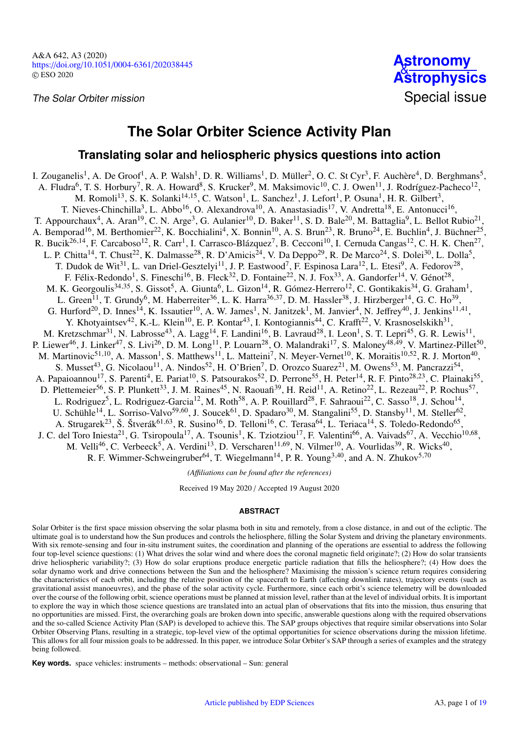

# **The Solar Orbiter Science Activity Plan**

## **Translating solar and heliospheric physics questions into action**

I. Zouganelis<sup>[1](#page-17-0)</sup>, A. De Groof<sup>1</sup>, A. P. Walsh<sup>1</sup>, D. R. Williams<sup>1</sup>, D. Müller<sup>[2](#page-17-1)</sup>, O. C. St Cyr<sup>[3](#page-17-2)</sup>, F. Auchère<sup>[4](#page-17-3)</sup>, D. Berghmans<sup>[5](#page-17-4)</sup>, A. Fludra<sup>[6](#page-17-5)</sup>, T. S. Horbury<sup>[7](#page-17-6)</sup>, R. A. Howard<sup>[8](#page-17-7)</sup>, S. Krucker<sup>[9](#page-17-8)</sup>, M. Maksimovic<sup>[10](#page-17-9)</sup>, C. J. Owen<sup>[11](#page-17-10)</sup>, J. Rodríguez-Pacheco<sup>[12](#page-17-11)</sup>, M. Romoli<sup>[13](#page-17-12)</sup>, S. K. Solanki<sup>[14](#page-17-13)[,15](#page-17-14)</sup>, C. Watson<sup>[1](#page-17-0)</sup>, L. Sanchez<sup>1</sup>, J. Lefort<sup>1</sup>, P. Osuna<sup>1</sup>, H. R. Gilbert<sup>[3](#page-17-2)</sup>, T. Nieves-Chinchilla<sup>[3](#page-17-2)</sup>, L. Abbo<sup>[16](#page-17-15)</sup>, O. Alexandrova<sup>[10](#page-17-9)</sup>, A. Anastasiadis<sup>[17](#page-17-16)</sup>, V. Andretta<sup>[18](#page-17-17)</sup>, E. Antonucci<sup>16</sup>, T. Appourchaux<sup>[4](#page-17-3)</sup>, A. Aran<sup>[19](#page-17-18)</sup>, C. N. Arge<sup>[3](#page-17-2)</sup>, G. Aulanier<sup>[10](#page-17-9)</sup>, D. Baker<sup>[11](#page-17-10)</sup>, S. D. Bale<sup>[20](#page-17-19)</sup>, M. Battaglia<sup>[9](#page-17-8)</sup>, L. Bellot Rubio<sup>[21](#page-17-20)</sup>, A. Bemporad<sup>[16](#page-17-15)</sup>, M. Berthomier<sup>[22](#page-17-21)</sup>, K. Bocchialini<sup>[4](#page-17-3)</sup>, X. Bonnin<sup>[10](#page-17-9)</sup>, A. S. Brun<sup>[23](#page-17-22)</sup>, R. Bruno<sup>[24](#page-17-23)</sup>, E. Buchlin<sup>4</sup>, J. Büchner<sup>[25](#page-17-24)</sup>, R. Bucik<sup>[26](#page-17-25)[,14](#page-17-13)</sup>, F. Carcaboso<sup>[12](#page-17-11)</sup>, R. Carr<sup>[1](#page-17-0)</sup>, I. Carrasco-Blázquez<sup>[7](#page-17-6)</sup>, B. Cecconi<sup>[10](#page-17-9)</sup>, I. Cernuda Cangas<sup>12</sup>, C. H. K. Chen<sup>[27](#page-17-26)</sup>, L. P. Chitta<sup>[14](#page-17-13)</sup>, T. Chust<sup>[22](#page-17-21)</sup>, K. Dalmasse<sup>[28](#page-17-27)</sup>, R. D'Amicis<sup>[24](#page-17-23)</sup>, V. Da Deppo<sup>[29](#page-17-28)</sup>, R. De Marco<sup>24</sup>, S. Dolei<sup>[30](#page-17-29)</sup>, L. Dolla<sup>[5](#page-17-4)</sup>, T. Dudok de Wit<sup>[31](#page-17-30)</sup>, L. van Driel-Gesztelyi<sup>[11](#page-17-10)</sup>, J. P. Eastwood<sup>[7](#page-17-6)</sup>, F. Espinosa Lara<sup>[12](#page-17-11)</sup>, L. Etesi<sup>[9](#page-17-8)</sup>, A. Fedorov<sup>[28](#page-17-27)</sup>, F. Félix-Redondo<sup>[1](#page-17-0)</sup>, S. Fineschi<sup>[16](#page-17-15)</sup>, B. Fleck<sup>[32](#page-17-31)</sup>, D. Fontaine<sup>[22](#page-17-21)</sup>, N. J. Fox<sup>[33](#page-17-32)</sup>, A. Gandorfer<sup>[14](#page-17-13)</sup>, V. Génot<sup>[28](#page-17-27)</sup>, M. K. Georgoulis<sup>[34](#page-17-33)[,35](#page-17-34)</sup>, S. Gissot<sup>[5](#page-17-4)</sup>, A. Giunta<sup>[6](#page-17-5)</sup>, L. Gizon<sup>[14](#page-17-13)</sup>, R. Gómez-Herrero<sup>[12](#page-17-11)</sup>, C. Gontikakis<sup>34</sup>, G. Graham<sup>[1](#page-17-0)</sup>, L. Green<sup>[11](#page-17-10)</sup>, T. Grundy<sup>[6](#page-17-5)</sup>, M. Haberreiter<sup>[36](#page-17-35)</sup>, L. K. Harra<sup>36[,37](#page-17-36)</sup>, D. M. Hassler<sup>[38](#page-17-37)</sup>, J. Hirzberger<sup>[14](#page-17-13)</sup>, G. C. Ho<sup>[39](#page-17-38)</sup>, G. Hurford<sup>[20](#page-17-19)</sup>, D. Innes<sup>[14](#page-17-13)</sup>, K. Issautier<sup>[10](#page-17-9)</sup>, A. W. James<sup>[1](#page-17-0)</sup>, N. Janitzek<sup>1</sup>, M. Janvier<sup>[4](#page-17-3)</sup>, N. Jeffrey<sup>[40](#page-17-39)</sup>, J. Jenkins<sup>[11](#page-17-10)[,41](#page-17-40)</sup>, Y. Khotyaintsev<sup>[42](#page-17-41)</sup>, K.-L. Klein<sup>[10](#page-17-9)</sup>, E. P. Kontar<sup>[43](#page-17-42)</sup>, I. Kontogiannis<sup>[44](#page-17-43)</sup>, C. Krafft<sup>[22](#page-17-21)</sup>, V. Krasnoselskikh<sup>[31](#page-17-30)</sup>, M. Kretzschmar<sup>[31](#page-17-30)</sup>, N. Labrosse<sup>[43](#page-17-42)</sup>, A. Lagg<sup>[14](#page-17-13)</sup>, F. Landini<sup>[16](#page-17-15)</sup>, B. Lavraud<sup>[28](#page-17-27)</sup>, I. Leon<sup>[1](#page-17-0)</sup>, S. T. Lepri<sup>[45](#page-17-44)</sup>, G. R. Lewis<sup>[11](#page-17-10)</sup>, P. Liewer<sup>[46](#page-17-45)</sup>, J. Linker<sup>[47](#page-17-46)</sup>, S. Livi<sup>[26](#page-17-25)</sup>, D. M. Long<sup>[11](#page-17-10)</sup>, P. Louarn<sup>[28](#page-17-27)</sup>, O. Malandraki<sup>[17](#page-17-16)</sup>, S. Maloney<sup>[48](#page-17-47)[,49](#page-17-48)</sup>, V. Martinez-Pillet<sup>[50](#page-18-0)</sup>, M. Martinovic<sup>[51](#page-18-1)[,10](#page-17-9)</sup>, A. Masson<sup>[1](#page-17-0)</sup>, S. Matthews<sup>[11](#page-17-10)</sup>, L. Matteini<sup>[7](#page-17-6)</sup>, N. Meyer-Vernet<sup>[10](#page-17-9)</sup>, K. Moraitis<sup>10[,52](#page-18-2)</sup>, R. J. Morton<sup>[40](#page-17-39)</sup>, S. Musset<sup>[43](#page-17-42)</sup>, G. Nicolaou<sup>[11](#page-17-10)</sup>, A. Nindos<sup>[52](#page-18-2)</sup>, H. O'Brien<sup>[7](#page-17-6)</sup>, D. Orozco Suarez<sup>[21](#page-17-20)</sup>, M. Owens<sup>[53](#page-18-3)</sup>, M. Pancrazzi<sup>[54](#page-18-4)</sup>, A. Papaioannou<sup>[17](#page-17-16)</sup>, S. Parenti<sup>[4](#page-17-3)</sup>, E. Pariat<sup>[10](#page-17-9)</sup>, S. Patsourakos<sup>[52](#page-18-2)</sup>, D. Perrone<sup>[55](#page-18-5)</sup>, H. Peter<sup>[14](#page-17-13)</sup>, R. F. Pinto<sup>[28](#page-17-27)[,23](#page-17-22)</sup>, C. Plainaki<sup>55</sup>, D. Plettemeier<sup>[56](#page-18-6)</sup>, S. P. Plunkett<sup>[33](#page-17-32)</sup>, J. M. Raines<sup>[45](#page-17-44)</sup>, N. Raouafi<sup>[39](#page-17-38)</sup>, H. Reid<sup>[11](#page-17-10)</sup>, A. Retino<sup>[22](#page-17-21)</sup>, L. Rezeau<sup>22</sup>, P. Rochus<sup>[57](#page-18-7)</sup>, L. Rodriguez<sup>[5](#page-17-4)</sup>, L. Rodriguez-Garcia<sup>[12](#page-17-11)</sup>, M. Roth<sup>[58](#page-18-8)</sup>, A. P. Rouillard<sup>[28](#page-17-27)</sup>, F. Sahraoui<sup>[22](#page-17-21)</sup>, C. Sasso<sup>[18](#page-17-17)</sup>, J. Schou<sup>[14](#page-17-13)</sup>, U. Schühle<sup>[14](#page-17-13)</sup>, L. Sorriso-Valvo<sup>[59](#page-18-9)[,60](#page-18-10)</sup>, J. Soucek<sup>[61](#page-18-11)</sup>, D. Spadaro<sup>[30](#page-17-29)</sup>, M. Stangalini<sup>[55](#page-18-5)</sup>, D. Stansby<sup>[11](#page-17-10)</sup>, M. Steller<sup>[62](#page-18-12)</sup>, A. Strugarek<sup>[23](#page-17-22)</sup>, Š. Štverák<sup>[61](#page-18-11)[,63](#page-18-13)</sup>, R. Susino<sup>[16](#page-17-15)</sup>, D. Telloni<sup>16</sup>, C. Terasa<sup>[64](#page-18-14)</sup>, L. Teriaca<sup>[14](#page-17-13)</sup>, S. Toledo-Redondo<sup>[65](#page-18-15)</sup>, J. C. del Toro Iniesta<sup>[21](#page-17-20)</sup>, G. Tsiropoula<sup>[17](#page-17-16)</sup>, A. Tsounis<sup>[1](#page-17-0)</sup>, K. Tziotziou<sup>17</sup>, F. Valentini<sup>[66](#page-18-16)</sup>, A. Vaivads<sup>[67](#page-18-17)</sup>, A. Vecchio<sup>[10](#page-17-9)[,68](#page-18-18)</sup>, M. Velli<sup>[46](#page-17-45)</sup>, C. Verbeeck<sup>[5](#page-17-4)</sup>, A. Verdini<sup>[13](#page-17-12)</sup>, D. Verscharen<sup>[11](#page-17-10)[,69](#page-18-19)</sup>, N. Vilmer<sup>[10](#page-17-9)</sup>, A. Vourlidas<sup>[39](#page-17-38)</sup>, R. Wicks<sup>[40](#page-17-39)</sup>, R. F. Wimmer-Schweingruber<sup>[64](#page-18-14)</sup>, T. Wiegelmann<sup>[14](#page-17-13)</sup>, P. R. Young<sup>[3](#page-17-2)[,40](#page-17-39)</sup>, and A. N. Zhukov<sup>[5](#page-17-4)[,70](#page-18-20)</sup>

*(A*ffi*liations can be found after the references)*

Received 19 May 2020 / Accepted 19 August 2020

## **ABSTRACT**

Solar Orbiter is the first space mission observing the solar plasma both in situ and remotely, from a close distance, in and out of the ecliptic. The ultimate goal is to understand how the Sun produces and controls the heliosphere, filling the Solar System and driving the planetary environments. With six remote-sensing and four in-situ instrument suites, the coordination and planning of the operations are essential to address the following four top-level science questions: (1) What drives the solar wind and where does the coronal magnetic field originate?; (2) How do solar transients drive heliospheric variability?; (3) How do solar eruptions produce energetic particle radiation that fills the heliosphere?; (4) How does the solar dynamo work and drive connections between the Sun and the heliosphere? Maximising the mission's science return requires considering the characteristics of each orbit, including the relative position of the spacecraft to Earth (affecting downlink rates), trajectory events (such as gravitational assist manoeuvres), and the phase of the solar activity cycle. Furthermore, since each orbit's science telemetry will be downloaded over the course of the following orbit, science operations must be planned at mission level, rather than at the level of individual orbits. It is important to explore the way in which those science questions are translated into an actual plan of observations that fits into the mission, thus ensuring that no opportunities are missed. First, the overarching goals are broken down into specific, answerable questions along with the required observations and the so-called Science Activity Plan (SAP) is developed to achieve this. The SAP groups objectives that require similar observations into Solar Orbiter Observing Plans, resulting in a strategic, top-level view of the optimal opportunities for science observations during the mission lifetime. This allows for all four mission goals to be addressed. In this paper, we introduce Solar Orbiter's SAP through a series of examples and the strategy being followed.

**Key words.** space vehicles: instruments – methods: observational – Sun: general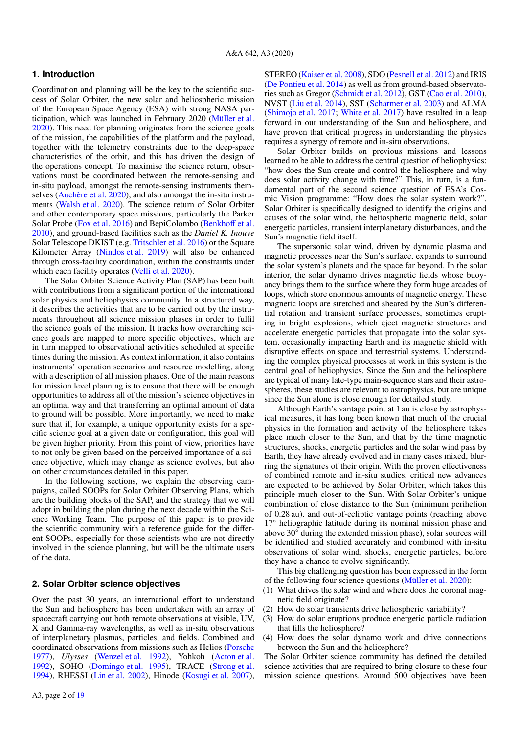## **1. Introduction**

Coordination and planning will be the key to the scientific success of Solar Orbiter, the new solar and heliospheric mission of the European Space Agency (ESA) with strong NASA participation, which was launched in February 2020 [\(Müller et al.](#page-16-0) [2020\)](#page-16-0). This need for planning originates from the science goals of the mission, the capabilities of the platform and the payload, together with the telemetry constraints due to the deep-space characteristics of the orbit, and this has driven the design of the operations concept. To maximise the science return, observations must be coordinated between the remote-sensing and in-situ payload, amongst the remote-sensing instruments themselves [\(Auchère et al.](#page-16-1) [2020\)](#page-16-1), and also amongst the in-situ instruments [\(Walsh et al.](#page-17-49) [2020\)](#page-17-49). The science return of Solar Orbiter and other contemporary space missions, particularly the Parker Solar Probe [\(Fox et al.](#page-16-2) [2016\)](#page-16-2) and BepiColombo [\(Benkho](#page-16-3)ff et al. [2010\)](#page-16-3), and ground-based facilities such as the *Daniel K. Inouye* Solar Telescope DKIST (e.g. [Tritschler et al.](#page-17-50) [2016\)](#page-17-50) or the Square Kilometer Array [\(Nindos et al.](#page-16-4) [2019\)](#page-16-4) will also be enhanced through cross-facility coordination, within the constraints under which each facility operates [\(Velli et al.](#page-17-51) [2020\)](#page-17-51).

The Solar Orbiter Science Activity Plan (SAP) has been built with contributions from a significant portion of the international solar physics and heliophysics community. In a structured way, it describes the activities that are to be carried out by the instruments throughout all science mission phases in order to fulfil the science goals of the mission. It tracks how overarching science goals are mapped to more specific objectives, which are in turn mapped to observational activities scheduled at specific times during the mission. As context information, it also contains instruments' operation scenarios and resource modelling, along with a description of all mission phases. One of the main reasons for mission level planning is to ensure that there will be enough opportunities to address all of the mission's science objectives in an optimal way and that transferring an optimal amount of data to ground will be possible. More importantly, we need to make sure that if, for example, a unique opportunity exists for a specific science goal at a given date or configuration, this goal will be given higher priority. From this point of view, priorities have to not only be given based on the perceived importance of a science objective, which may change as science evolves, but also on other circumstances detailed in this paper.

In the following sections, we explain the observing campaigns, called SOOPs for Solar Orbiter Observing Plans, which are the building blocks of the SAP, and the strategy that we will adopt in building the plan during the next decade within the Science Working Team. The purpose of this paper is to provide the scientific community with a reference guide for the different SOOPs, especially for those scientists who are not directly involved in the science planning, but will be the ultimate users of the data.

## **2. Solar Orbiter science objectives**

Over the past 30 years, an international effort to understand the Sun and heliosphere has been undertaken with an array of spacecraft carrying out both remote observations at visible, UV, X and Gamma-ray wavelengths, as well as in-situ observations of interplanetary plasmas, particles, and fields. Combined and coordinated observations from missions such as Helios [\(Porsche](#page-16-5) [1977\)](#page-16-5), *Ulysses* [\(Wenzel et al.](#page-17-52) [1992\)](#page-17-52), Yohkoh [\(Acton et al.](#page-16-6) [1992\)](#page-16-6), SOHO [\(Domingo et al.](#page-16-7) [1995\)](#page-16-7), TRACE [\(Strong et al.](#page-17-53) [1994\)](#page-17-53), RHESSI [\(Lin et al.](#page-16-8) [2002\)](#page-16-8), Hinode [\(Kosugi et al.](#page-16-9) [2007\)](#page-16-9),

STEREO [\(Kaiser et al.](#page-16-10) [2008\)](#page-16-10), SDO [\(Pesnell et al.](#page-16-11) [2012\)](#page-16-11) and IRIS [\(De Pontieu et al.](#page-16-12) [2014\)](#page-16-12) as well as from ground-based observatories such as Gregor [\(Schmidt et al.](#page-17-54) [2012\)](#page-17-54), GST [\(Cao et al.](#page-16-13) [2010\)](#page-16-13), NVST [\(Liu et al.](#page-16-14) [2014\)](#page-16-14), SST [\(Scharmer et al.](#page-17-55) [2003\)](#page-17-55) and ALMA [\(Shimojo et al.](#page-17-56) [2017;](#page-17-56) [White et al.](#page-17-57) [2017\)](#page-17-57) have resulted in a leap forward in our understanding of the Sun and heliosphere, and have proven that critical progress in understanding the physics requires a synergy of remote and in-situ observations.

Solar Orbiter builds on previous missions and lessons learned to be able to address the central question of heliophysics: "how does the Sun create and control the heliosphere and why does solar activity change with time?" This, in turn, is a fundamental part of the second science question of ESA's Cosmic Vision programme: "How does the solar system work?". Solar Orbiter is specifically designed to identify the origins and causes of the solar wind, the heliospheric magnetic field, solar energetic particles, transient interplanetary disturbances, and the Sun's magnetic field itself.

The supersonic solar wind, driven by dynamic plasma and magnetic processes near the Sun's surface, expands to surround the solar system's planets and the space far beyond. In the solar interior, the solar dynamo drives magnetic fields whose buoyancy brings them to the surface where they form huge arcades of loops, which store enormous amounts of magnetic energy. These magnetic loops are stretched and sheared by the Sun's differential rotation and transient surface processes, sometimes erupting in bright explosions, which eject magnetic structures and accelerate energetic particles that propagate into the solar system, occasionally impacting Earth and its magnetic shield with disruptive effects on space and terrestrial systems. Understanding the complex physical processes at work in this system is the central goal of heliophysics. Since the Sun and the heliosphere are typical of many late-type main-sequence stars and their astrospheres, these studies are relevant to astrophysics, but are unique since the Sun alone is close enough for detailed study.

Although Earth's vantage point at 1 au is close by astrophysical measures, it has long been known that much of the crucial physics in the formation and activity of the heliosphere takes place much closer to the Sun, and that by the time magnetic structures, shocks, energetic particles and the solar wind pass by Earth, they have already evolved and in many cases mixed, blurring the signatures of their origin. With the proven effectiveness of combined remote and in-situ studies, critical new advances are expected to be achieved by Solar Orbiter, which takes this principle much closer to the Sun. With Solar Orbiter's unique combination of close distance to the Sun (minimum perihelion of 0.28 au), and out-of-ecliptic vantage points (reaching above 17° heliographic latitude during its nominal mission phase and above 30◦ during the extended mission phase), solar sources will be identified and studied accurately and combined with in-situ observations of solar wind, shocks, energetic particles, before they have a chance to evolve significantly.

This big challenging question has been expressed in the form of the following four science questions [\(Müller et al.](#page-16-0) [2020\)](#page-16-0):

- (1) What drives the solar wind and where does the coronal magnetic field originate?
- (2) How do solar transients drive heliospheric variability?
- (3) How do solar eruptions produce energetic particle radiation that fills the heliosphere?
- (4) How does the solar dynamo work and drive connections between the Sun and the heliosphere?

The Solar Orbiter science community has defined the detailed science activities that are required to bring closure to these four mission science questions. Around 500 objectives have been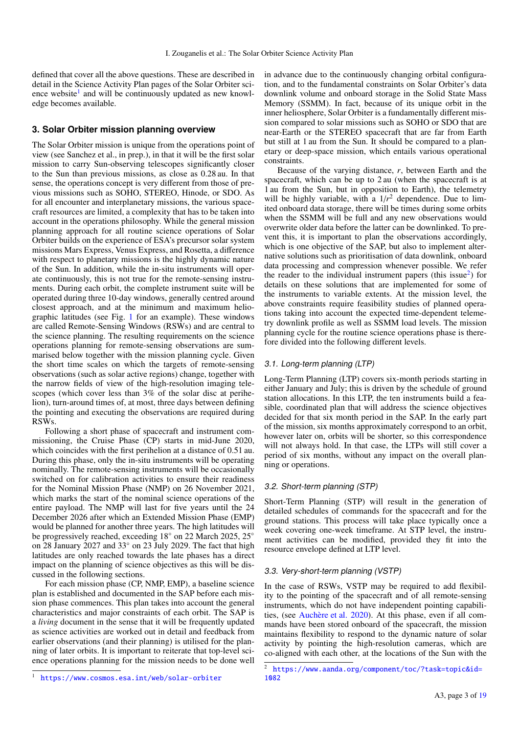defined that cover all the above questions. These are described in detail in the Science Activity Plan pages of the Solar Orbiter sci-ence website<sup>[1](#page-2-0)</sup> and will be continuously updated as new knowledge becomes available.

## <span id="page-2-2"></span>**3. Solar Orbiter mission planning overview**

The Solar Orbiter mission is unique from the operations point of view (see Sanchez et al., in prep.), in that it will be the first solar mission to carry Sun-observing telescopes significantly closer to the Sun than previous missions, as close as 0.28 au. In that sense, the operations concept is very different from those of previous missions such as SOHO, STEREO, Hinode, or SDO. As for all encounter and interplanetary missions, the various spacecraft resources are limited, a complexity that has to be taken into account in the operations philosophy. While the general mission planning approach for all routine science operations of Solar Orbiter builds on the experience of ESA's precursor solar system missions Mars Express, Venus Express, and Rosetta, a difference with respect to planetary missions is the highly dynamic nature of the Sun. In addition, while the in-situ instruments will operate continuously, this is not true for the remote-sensing instruments. During each orbit, the complete instrument suite will be operated during three 10-day windows, generally centred around closest approach, and at the minimum and maximum heliographic latitudes (see Fig. [1](#page-15-0) for an example). These windows are called Remote-Sensing Windows (RSWs) and are central to the science planning. The resulting requirements on the science operations planning for remote-sensing observations are summarised below together with the mission planning cycle. Given the short time scales on which the targets of remote-sensing observations (such as solar active regions) change, together with the narrow fields of view of the high-resolution imaging telescopes (which cover less than 3% of the solar disc at perihelion), turn-around times of, at most, three days between defining the pointing and executing the observations are required during RSWs.

Following a short phase of spacecraft and instrument commissioning, the Cruise Phase (CP) starts in mid-June 2020, which coincides with the first perihelion at a distance of 0.51 au. During this phase, only the in-situ instruments will be operating nominally. The remote-sensing instruments will be occasionally switched on for calibration activities to ensure their readiness for the Nominal Mission Phase (NMP) on 26 November 2021, which marks the start of the nominal science operations of the entire payload. The NMP will last for five years until the 24 December 2026 after which an Extended Mission Phase (EMP) would be planned for another three years. The high latitudes will be progressively reached, exceeding 18◦ on 22 March 2025, 25◦ on 28 January 2027 and 33◦ on 23 July 2029. The fact that high latitudes are only reached towards the late phases has a direct impact on the planning of science objectives as this will be discussed in the following sections.

For each mission phase (CP, NMP, EMP), a baseline science plan is established and documented in the SAP before each mission phase commences. This plan takes into account the general characteristics and major constraints of each orbit. The SAP is a *living* document in the sense that it will be frequently updated as science activities are worked out in detail and feedback from earlier observations (and their planning) is utilised for the planning of later orbits. It is important to reiterate that top-level science operations planning for the mission needs to be done well

in advance due to the continuously changing orbital configuration, and to the fundamental constraints on Solar Orbiter's data downlink volume and onboard storage in the Solid State Mass Memory (SSMM). In fact, because of its unique orbit in the inner heliosphere, Solar Orbiter is a fundamentally different mission compared to solar missions such as SOHO or SDO that are near-Earth or the STEREO spacecraft that are far from Earth but still at 1 au from the Sun. It should be compared to a planetary or deep-space mission, which entails various operational constraints.

Because of the varying distance, *r*, between Earth and the spacecraft, which can be up to 2 au (when the spacecraft is at 1 au from the Sun, but in opposition to Earth), the telemetry will be highly variable, with a  $1/r^2$  dependence. Due to limited onboard data storage, there will be times during some orbits when the SSMM will be full and any new observations would overwrite older data before the latter can be downlinked. To prevent this, it is important to plan the observations accordingly, which is one objective of the SAP, but also to implement alternative solutions such as prioritisation of data downlink, onboard data processing and compression whenever possible. We refer the reader to the individual instrument papers (this issue<sup>[2](#page-2-1)</sup>) for details on these solutions that are implemented for some of the instruments to variable extents. At the mission level, the above constraints require feasibility studies of planned operations taking into account the expected time-dependent telemetry downlink profile as well as SSMM load levels. The mission planning cycle for the routine science operations phase is therefore divided into the following different levels.

## 3.1. Long-term planning (LTP)

Long-Term Planning (LTP) covers six-month periods starting in either January and July; this is driven by the schedule of ground station allocations. In this LTP, the ten instruments build a feasible, coordinated plan that will address the science objectives decided for that six month period in the SAP. In the early part of the mission, six months approximately correspond to an orbit, however later on, orbits will be shorter, so this correspondence will not always hold. In that case, the LTPs will still cover a period of six months, without any impact on the overall planning or operations.

## 3.2. Short-term planning (STP)

Short-Term Planning (STP) will result in the generation of detailed schedules of commands for the spacecraft and for the ground stations. This process will take place typically once a week covering one-week timeframe. At STP level, the instrument activities can be modified, provided they fit into the resource envelope defined at LTP level.

## 3.3. Very-short-term planning (VSTP)

In the case of RSWs, VSTP may be required to add flexibility to the pointing of the spacecraft and of all remote-sensing instruments, which do not have independent pointing capabilities, (see [Auchère et al.](#page-16-1) [2020\)](#page-16-1). At this phase, even if all commands have been stored onboard of the spacecraft, the mission maintains flexibility to respond to the dynamic nature of solar activity by pointing the high-resolution cameras, which are co-aligned with each other, at the locations of the Sun with the

<span id="page-2-0"></span><sup>1</sup> <https://www.cosmos.esa.int/web/solar-orbiter>

<span id="page-2-1"></span><sup>2</sup> [https://www.aanda.org/component/toc/?task=topic&id=](https://www.aanda.org/component/toc/?task=topic&id=1082) [1082](https://www.aanda.org/component/toc/?task=topic&id=1082)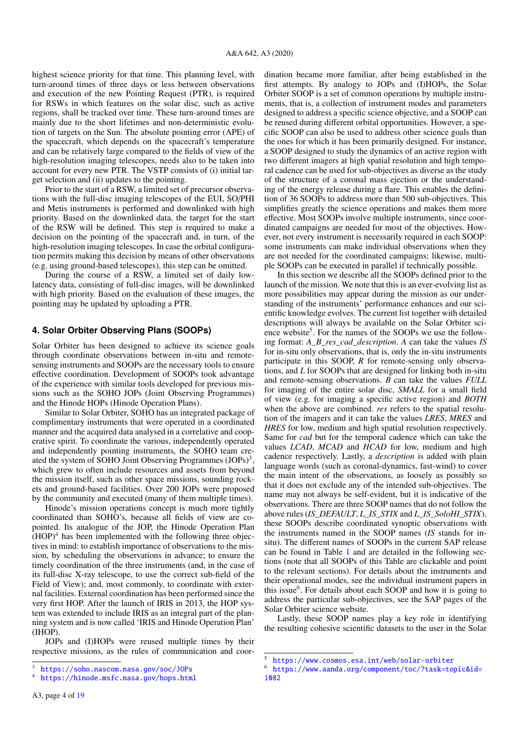highest science priority for that time. This planning level, with turn-around times of three days or less between observations and execution of the new Pointing Request (PTR), is required for RSWs in which features on the solar disc, such as active regions, shall be tracked over time. These turn-around times are mainly due to the short lifetimes and non-deterministic evolution of targets on the Sun. The absolute pointing error (APE) of the spacecraft, which depends on the spacecraft's temperature and can be relatively large compared to the fields of view of the high-resolution imaging telescopes, needs also to be taken into account for every new PTR. The VSTP consists of (i) initial target selection and (ii) updates to the pointing.

Prior to the start of a RSW, a limited set of precursor observations with the full-disc imaging telescopes of the EUI, SO/PHI and Metis instruments is performed and downlinked with high priority. Based on the downlinked data, the target for the start of the RSW will be defined. This step is required to make a decision on the pointing of the spacecraft and, in turn, of the high-resolution imaging telescopes. In case the orbital configuration permits making this decision by means of other observations (e.g. using ground-based telescopes), this step can be omitted.

During the course of a RSW, a limited set of daily lowlatency data, consisting of full-disc images, will be downlinked with high priority. Based on the evaluation of these images, the pointing may be updated by uploading a PTR.

## **4. Solar Orbiter Observing Plans (SOOPs)**

Solar Orbiter has been designed to achieve its science goals through coordinate observations between in-situ and remotesensing instruments and SOOPs are the necessary tools to ensure effective coordination. Development of SOOPs took advantage of the experience with similar tools developed for previous missions such as the SOHO JOPs (Joint Observing Programmes) and the Hinode HOPs (Hinode Operation Plans).

Similar to Solar Orbiter, SOHO has an integrated package of complimentary instruments that were operated in a coordinated manner and the acquired data analysed in a correlative and cooperative spirit. To coordinate the various, independently operated and independently pointing instruments, the SOHO team created the system of SOHO Joint Observing Programmes  $(JOPs)^3$  $(JOPs)^3$ , which grew to often include resources and assets from beyond the mission itself, such as other space missions, sounding rockets and ground-based facilities. Over 200 JOPs were proposed by the community and executed (many of them multiple times).

Hinode's mission operations concept is much more tightly coordinated than SOHO's, because all fields of view are copointed. Its analogue of the JOP, the Hinode Operation Plan  $(HOP)^4$  $(HOP)^4$  has been implemented with the following three objectives in mind: to establish importance of observations to the mission, by scheduling the observations in advance; to ensure the timely coordination of the three instruments (and, in the case of its full-disc X-ray telescope, to use the correct sub-field of the Field of View); and, most commonly, to coordinate with external facilities. External coordination has been performed since the very first HOP. After the launch of IRIS in 2013, the HOP system was extended to include IRIS as an integral part of the planning system and is now called 'IRIS and Hinode Operation Plan' (IHOP).

JOPs and (I)HOPs were reused multiple times by their respective missions, as the rules of communication and coordination became more familiar, after being established in the first attempts. By analogy to JOPs and (I)HOPs, the Solar Orbiter SOOP is a set of common operations by multiple instruments, that is, a collection of instrument modes and parameters designed to address a specific science objective, and a SOOP can be reused during different orbital opportunities. However, a specific SOOP can also be used to address other science goals than the ones for which it has been primarily designed. For instance, a SOOP designed to study the dynamics of an active region with two different imagers at high spatial resolution and high temporal cadence can be used for sub-objectives as diverse as the study of the structure of a coronal mass ejection or the understanding of the energy release during a flare. This enables the definition of 36 SOOPs to address more than 500 sub-objectives. This simplifies greatly the science operations and makes them more effective. Most SOOPs involve multiple instruments, since coordinated campaigns are needed for most of the objectives. However, not every instrument is necessarily required in each SOOP: some instruments can make individual observations when they are not needed for the coordinated campaigns; likewise, multiple SOOPs can be executed in parallel if technically possible.

In this section we describe all the SOOPs defined prior to the launch of the mission. We note that this is an ever-evolving list as more possibilities may appear during the mission as our understanding of the instruments' performance enhances and our scientific knowledge evolves. The current list together with detailed descriptions will always be available on the Solar Orbiter sci-ence website<sup>[5](#page-3-2)</sup>. For the names of the SOOPs we use the following format: *A\_B\_res\_cad\_description*. *A* can take the values *IS* for in-situ only observations, that is, only the in-situ instruments participate in this SOOP, *R* for remote-sensing only observations, and *L* for SOOPs that are designed for linking both in-situ and remote-sensing observations. *B* can take the values *FULL* for imaging of the entire solar disc, *SMALL* for a small field of view (e.g. for imaging a specific active region) and *BOTH* when the above are combined. *res* refers to the spatial resolution of the imagers and it can take the values *LRES*, *MRES* and *HRES* for low, medium and high spatial resolution respectively. Same for *cad* but for the temporal cadence which can take the values *LCAD*, *MCAD* and *HCAD* for low, medium and high cadence respectively. Lastly, a *description* is added with plain language words (such as coronal-dynamics, fast-wind) to cover the main intent of the observations, as loosely as possibly so that it does not exclude any of the intended sub-objectives. The name may not always be self-evident, but it is indicative of the observations. There are three SOOP names that do not follow the above rules (*IS\_DEFAULT*, *L\_IS\_STIX* and *L\_IS\_SoloHI\_STIX*), these SOOPs describe coordinated synoptic observations with the instruments named in the SOOP names (*IS* stands for insitu). The different names of SOOPs in the current SAP release can be found in Table [1](#page-4-0) and are detailed in the following sections (note that all SOOPs of this Table are clickable and point to the relevant sections). For details about the instruments and their operational modes, see the individual instrument papers in this issue<sup>[6](#page-3-3)</sup>. For details about each SOOP and how it is going to address the particular sub-objectives, see the SAP pages of the Solar Orbiter science website.

Lastly, these SOOP names play a key role in identifying the resulting cohesive scientific datasets to the user in the Solar

<span id="page-3-0"></span><sup>3</sup> <https://soho.nascom.nasa.gov/soc/JOPs>

<span id="page-3-1"></span><sup>4</sup> <https://hinode.msfc.nasa.gov/hops.html>

<span id="page-3-2"></span><sup>5</sup> <https://www.cosmos.esa.int/web/solar-orbiter>

<span id="page-3-3"></span><sup>6</sup> [https://www.aanda.org/component/toc/?task=topic&id=](https://www.aanda.org/component/toc/?task=topic&id=1082) [1082](https://www.aanda.org/component/toc/?task=topic&id=1082)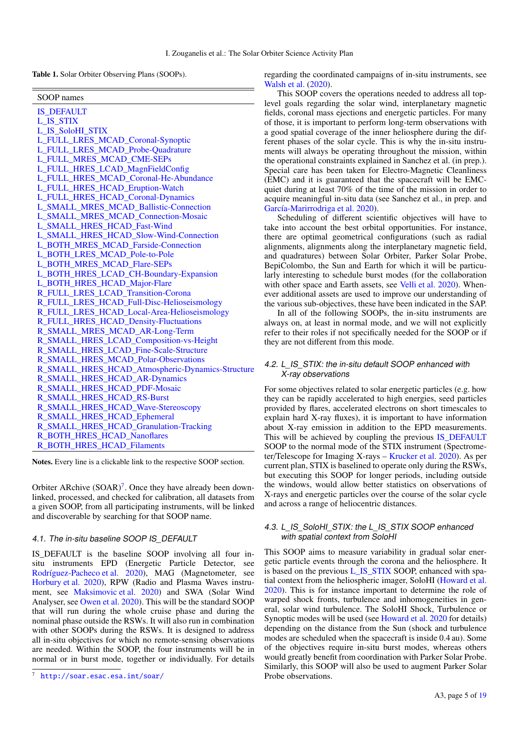<span id="page-4-0"></span>Table 1. Solar Orbiter Observing Plans (SOOPs).

| SOOP names                                       |
|--------------------------------------------------|
| <b>IS DEFAULT</b>                                |
| <b>L IS STIX</b>                                 |
| L_IS_SoloHI_STIX                                 |
| L_FULL_LRES_MCAD_Coronal-Synoptic                |
| L_FULL_LRES_MCAD_Probe-Quadrature                |
| L FULL MRES MCAD CME-SEPs                        |
| L FULL_HRES_LCAD_MagnFieldConfig                 |
| L_FULL_HRES_MCAD_Coronal-He-Abundance            |
| L_FULL_HRES_HCAD_Eruption-Watch                  |
| L_FULL_HRES_HCAD_Coronal-Dynamics                |
| L SMALL MRES MCAD Ballistic-Connection           |
| <b>L SMALL MRES MCAD Connection-Mosaic</b>       |
| L SMALL HRES HCAD Fast-Wind                      |
| L_SMALL_HRES_HCAD_Slow-Wind-Connection           |
| L_BOTH_MRES_MCAD_Farside-Connection              |
| L_BOTH_LRES_MCAD_Pole-to-Pole                    |
| L_BOTH_MRES_MCAD_Flare-SEPs                      |
| L_BOTH_HRES_LCAD_CH-Boundary-Expansion           |
| L BOTH HRES HCAD Major-Flare                     |
| R_FULL_LRES_LCAD_Transition-Corona               |
| R_FULL_LRES_HCAD_Full-Disc-Helioseismology       |
| R_FULL_LRES_HCAD_Local-Area-Helioseismology      |
| R_FULL_HRES_HCAD_Density-Fluctuations            |
| R_SMALL_MRES_MCAD_AR-Long-Term                   |
| R_SMALL_HRES_LCAD_Composition-vs-Height          |
| R_SMALL_HRES_LCAD_Fine-Scale-Structure           |
| R_SMALL_HRES_MCAD_Polar-Observations             |
| R_SMALL_HRES_HCAD_Atmospheric-Dynamics-Structure |
| R_SMALL_HRES_HCAD_AR-Dynamics                    |
| R_SMALL_HRES_HCAD_PDF-Mosaic                     |
| R_SMALL_HRES_HCAD_RS-Burst                       |
| R_SMALL_HRES_HCAD_Wave-Stereoscopy               |
| R_SMALL_HRES_HCAD_Ephemeral                      |
| R_SMALL_HRES_HCAD_Granulation-Tracking           |
| R_BOTH_HRES_HCAD_Nanoflares                      |
| <b>R_BOTH_HRES_HCAD_Filaments</b>                |

Notes. Every line is a clickable link to the respective SOOP section.

Orbiter ARchive  $(SOAR)^7$  $(SOAR)^7$ . Once they have already been downlinked, processed, and checked for calibration, all datasets from a given SOOP, from all participating instruments, will be linked and discoverable by searching for that SOOP name.

## <span id="page-4-1"></span>4.1. The in-situ baseline SOOP IS DEFAULT

IS\_DEFAULT is the baseline SOOP involving all four insitu instruments EPD (Energetic Particle Detector, see [Rodríguez-Pacheco et al.](#page-17-58) [2020\)](#page-17-58), MAG (Magnetometer, see [Horbury et al.](#page-16-15) [2020\)](#page-16-15), RPW (Radio and Plasma Waves instrument, see [Maksimovic et al.](#page-16-16) [2020\)](#page-16-16) and SWA (Solar Wind Analyser, see [Owen et al.](#page-16-17) [2020\)](#page-16-17). This will be the standard SOOP that will run during the whole cruise phase and during the nominal phase outside the RSWs. It will also run in combination with other SOOPs during the RSWs. It is designed to address all in-situ objectives for which no remote-sensing observations are needed. Within the SOOP, the four instruments will be in normal or in burst mode, together or individually. For details

regarding the coordinated campaigns of in-situ instruments, see [Walsh et al.](#page-17-49) [\(2020\)](#page-17-49).

This SOOP covers the operations needed to address all toplevel goals regarding the solar wind, interplanetary magnetic fields, coronal mass ejections and energetic particles. For many of those, it is important to perform long-term observations with a good spatial coverage of the inner heliosphere during the different phases of the solar cycle. This is why the in-situ instruments will always be operating throughout the mission, within the operational constraints explained in Sanchez et al. (in prep.). Special care has been taken for Electro-Magnetic Cleanliness (EMC) and it is guaranteed that the spacecraft will be EMCquiet during at least 70% of the time of the mission in order to acquire meaningful in-situ data (see Sanchez et al., in prep. and [García-Marirrodriga et al.](#page-16-18) [2020\)](#page-16-18).

Scheduling of different scientific objectives will have to take into account the best orbital opportunities. For instance, there are optimal geometrical configurations (such as radial alignments, alignments along the interplanetary magnetic field, and quadratures) between Solar Orbiter, Parker Solar Probe, BepiColombo, the Sun and Earth for which it will be particularly interesting to schedule burst modes (for the collaboration with other space and Earth assets, see [Velli et al.](#page-17-51) [2020\)](#page-17-51). Whenever additional assets are used to improve our understanding of the various sub-objectives, these have been indicated in the SAP.

In all of the following SOOPs, the in-situ instruments are always on, at least in normal mode, and we will not explicitly refer to their roles if not specifically needed for the SOOP or if they are not different from this mode.

## <span id="page-4-2"></span>4.2. L\_IS\_STIX: the in-situ default SOOP enhanced with X-ray observations

For some objectives related to solar energetic particles (e.g. how they can be rapidly accelerated to high energies, seed particles provided by flares, accelerated electrons on short timescales to explain hard X-ray fluxes), it is important to have information about X-ray emission in addition to the EPD measurements. This will be achieved by coupling the previous IS DEFAULT SOOP to the normal mode of the STIX instrument (Spectrometer/Telescope for Imaging X-rays – [Krucker et al.](#page-16-19) [2020\)](#page-16-19). As per current plan, STIX is baselined to operate only during the RSWs, but executing this SOOP for longer periods, including outside the windows, would allow better statistics on observations of X-rays and energetic particles over the course of the solar cycle and across a range of heliocentric distances.

## <span id="page-4-3"></span>4.3. L\_IS\_SoloHI\_STIX: the L\_IS\_STIX SOOP enhanced with spatial context from SoloHI

This SOOP aims to measure variability in gradual solar energetic particle events through the corona and the heliosphere. It is based on the previous [L\\_IS\\_STIX](#page-4-2) SOOP, enhanced with spatial context from the heliospheric imager, SoloHI [\(Howard et al.](#page-16-20) [2020\)](#page-16-20). This is for instance important to determine the role of warped shock fronts, turbulence and inhomogeneities in general, solar wind turbulence. The SoloHI Shock, Turbulence or Synoptic modes will be used (see [Howard et al.](#page-16-20) [2020](#page-16-20) for details) depending on the distance from the Sun (shock and turbulence modes are scheduled when the spacecraft is inside 0.4 au). Some of the objectives require in-situ burst modes, whereas others would greatly benefit from coordination with Parker Solar Probe. Similarly, this SOOP will also be used to augment Parker Solar Probe observations.

<span id="page-4-4"></span><sup>7</sup> <http://soar.esac.esa.int/soar/>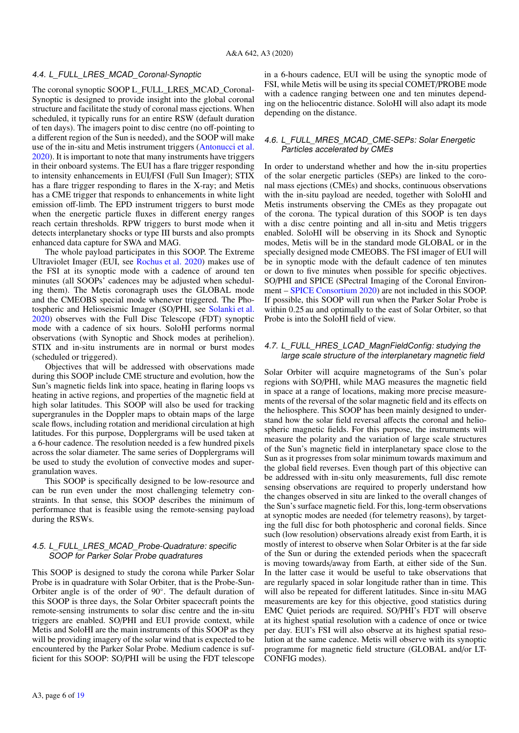#### <span id="page-5-0"></span>4.4. L\_FULL\_LRES\_MCAD\_Coronal-Synoptic

The coronal synoptic SOOP L\_FULL\_LRES\_MCAD\_Coronal-Synoptic is designed to provide insight into the global coronal structure and facilitate the study of coronal mass ejections. When scheduled, it typically runs for an entire RSW (default duration of ten days). The imagers point to disc centre (no off-pointing to a different region of the Sun is needed), and the SOOP will make use of the in-situ and Metis instrument triggers [\(Antonucci et al.](#page-16-21) [2020\)](#page-16-21). It is important to note that many instruments have triggers in their onboard systems. The EUI has a flare trigger responding to intensity enhancements in EUI/FSI (Full Sun Imager); STIX has a flare trigger responding to flares in the X-ray; and Metis has a CME trigger that responds to enhancements in white light emission off-limb. The EPD instrument triggers to burst mode when the energetic particle fluxes in different energy ranges reach certain thresholds. RPW triggers to burst mode when it detects interplanetary shocks or type III bursts and also prompts enhanced data capture for SWA and MAG.

The whole payload participates in this SOOP. The Extreme Ultraviolet Imager (EUI, see [Rochus et al.](#page-17-59) [2020\)](#page-17-59) makes use of the FSI at its synoptic mode with a cadence of around ten minutes (all SOOPs' cadences may be adjusted when scheduling them). The Metis coronagraph uses the GLOBAL mode and the CMEOBS special mode whenever triggered. The Photospheric and Helioseismic Imager (SO/PHI, see [Solanki et al.](#page-17-60) [2020\)](#page-17-60) observes with the Full Disc Telescope (FDT) synoptic mode with a cadence of six hours. SoloHI performs normal observations (with Synoptic and Shock modes at perihelion). STIX and in-situ instruments are in normal or burst modes (scheduled or triggered).

Objectives that will be addressed with observations made during this SOOP include CME structure and evolution, how the Sun's magnetic fields link into space, heating in flaring loops vs heating in active regions, and properties of the magnetic field at high solar latitudes. This SOOP will also be used for tracking supergranules in the Doppler maps to obtain maps of the large scale flows, including rotation and meridional circulation at high latitudes. For this purpose, Dopplergrams will be used taken at a 6-hour cadence. The resolution needed is a few hundred pixels across the solar diameter. The same series of Dopplergrams will be used to study the evolution of convective modes and supergranulation waves.

This SOOP is specifically designed to be low-resource and can be run even under the most challenging telemetry constraints. In that sense, this SOOP describes the minimum of performance that is feasible using the remote-sensing payload during the RSWs.

## <span id="page-5-1"></span>4.5. L\_FULL\_LRES\_MCAD\_Probe-Quadrature: specific SOOP for Parker Solar Probe quadratures

This SOOP is designed to study the corona while Parker Solar Probe is in quadrature with Solar Orbiter, that is the Probe-Sun-Orbiter angle is of the order of 90◦ . The default duration of this SOOP is three days, the Solar Orbiter spacecraft points the remote-sensing instruments to solar disc centre and the in-situ triggers are enabled. SO/PHI and EUI provide context, while Metis and SoloHI are the main instruments of this SOOP as they will be providing imagery of the solar wind that is expected to be encountered by the Parker Solar Probe. Medium cadence is sufficient for this SOOP: SO/PHI will be using the FDT telescope

A3, page 6 of [19](#page-18-21)

in a 6-hours cadence, EUI will be using the synoptic mode of FSI, while Metis will be using its special COMET/PROBE mode with a cadence ranging between one and ten minutes depending on the heliocentric distance. SoloHI will also adapt its mode depending on the distance.

## <span id="page-5-2"></span>4.6. L\_FULL\_MRES\_MCAD\_CME-SEPs: Solar Energetic Particles accelerated by CMEs

In order to understand whether and how the in-situ properties of the solar energetic particles (SEPs) are linked to the coronal mass ejections (CMEs) and shocks, continuous observations with the in-situ payload are needed, together with SoloHI and Metis instruments observing the CMEs as they propagate out of the corona. The typical duration of this SOOP is ten days with a disc centre pointing and all in-situ and Metis triggers enabled. SoloHI will be observing in its Shock and Synoptic modes, Metis will be in the standard mode GLOBAL or in the specially designed mode CMEOBS. The FSI imager of EUI will be in synoptic mode with the default cadence of ten minutes or down to five minutes when possible for specific objectives. SO/PHI and SPICE (SPectral Imaging of the Coronal Environment – [SPICE Consortium](#page-17-61) [2020\)](#page-17-61) are not included in this SOOP. If possible, this SOOP will run when the Parker Solar Probe is within 0.25 au and optimally to the east of Solar Orbiter, so that Probe is into the SoloHI field of view.

## <span id="page-5-3"></span>4.7. L\_FULL\_HRES\_LCAD\_MagnFieldConfig: studying the large scale structure of the interplanetary magnetic field

Solar Orbiter will acquire magnetograms of the Sun's polar regions with SO/PHI, while MAG measures the magnetic field in space at a range of locations, making more precise measurements of the reversal of the solar magnetic field and its effects on the heliosphere. This SOOP has been mainly designed to understand how the solar field reversal affects the coronal and heliospheric magnetic fields. For this purpose, the instruments will measure the polarity and the variation of large scale structures of the Sun's magnetic field in interplanetary space close to the Sun as it progresses from solar minimum towards maximum and the global field reverses. Even though part of this objective can be addressed with in-situ only measurements, full disc remote sensing observations are required to properly understand how the changes observed in situ are linked to the overall changes of the Sun's surface magnetic field. For this, long-term observations at synoptic modes are needed (for telemetry reasons), by targeting the full disc for both photospheric and coronal fields. Since such (low resolution) observations already exist from Earth, it is mostly of interest to observe when Solar Orbiter is at the far side of the Sun or during the extended periods when the spacecraft is moving towards/away from Earth, at either side of the Sun. In the latter case it would be useful to take observations that are regularly spaced in solar longitude rather than in time. This will also be repeated for different latitudes. Since in-situ MAG measurements are key for this objective, good statistics during EMC Quiet periods are required. SO/PHI's FDT will observe at its highest spatial resolution with a cadence of once or twice per day. EUI's FSI will also observe at its highest spatial resolution at the same cadence. Metis will observe with its synoptic programme for magnetic field structure (GLOBAL and/or LT-CONFIG modes).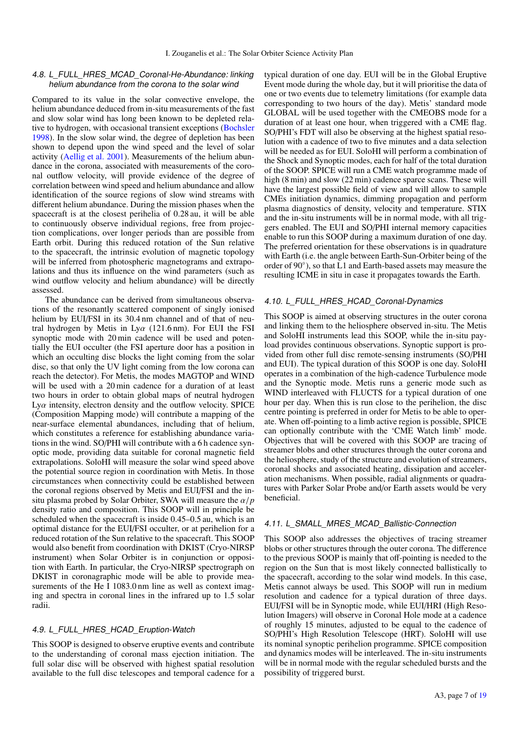#### <span id="page-6-0"></span>4.8. L\_FULL\_HRES\_MCAD\_Coronal-He-Abundance: linking helium abundance from the corona to the solar wind

Compared to its value in the solar convective envelope, the helium abundance deduced from in-situ measurements of the fast and slow solar wind has long been known to be depleted relative to hydrogen, with occasional transient exceptions [\(Bochsler](#page-16-22) [1998\)](#page-16-22). In the slow solar wind, the degree of depletion has been shown to depend upon the wind speed and the level of solar activity [\(Aellig et al.](#page-16-23) [2001\)](#page-16-23). Measurements of the helium abundance in the corona, associated with measurements of the coronal outflow velocity, will provide evidence of the degree of correlation between wind speed and helium abundance and allow identification of the source regions of slow wind streams with different helium abundance. During the mission phases when the spacecraft is at the closest perihelia of 0.28 au, it will be able to continuously observe individual regions, free from projection complications, over longer periods than are possible from Earth orbit. During this reduced rotation of the Sun relative to the spacecraft, the intrinsic evolution of magnetic topology will be inferred from photospheric magnetograms and extrapolations and thus its influence on the wind parameters (such as wind outflow velocity and helium abundance) will be directly assessed.

The abundance can be derived from simultaneous observations of the resonantly scattered component of singly ionised helium by EUI/FSI in its 30.4 nm channel and of that of neutral hydrogen by Metis in Ly $\alpha$  (121.6 nm). For EUI the FSI synoptic mode with 20 min cadence will be used and potentially the EUI occulter (the FSI aperture door has a position in which an occulting disc blocks the light coming from the solar disc, so that only the UV light coming from the low corona can reach the detector). For Metis, the modes MAGTOP and WIND will be used with a 20 min cadence for a duration of at least two hours in order to obtain global maps of neutral hydrogen  $Ly\alpha$  intensity, electron density and the outflow velocity. SPICE (Composition Mapping mode) will contribute a mapping of the near-surface elemental abundances, including that of helium, which constitutes a reference for establishing abundance variations in the wind. SO/PHI will contribute with a 6 h cadence synoptic mode, providing data suitable for coronal magnetic field extrapolations. SoloHI will measure the solar wind speed above the potential source region in coordination with Metis. In those circumstances when connectivity could be established between the coronal regions observed by Metis and EUI/FSI and the insitu plasma probed by Solar Orbiter, SWA will measure the α/*<sup>p</sup>* density ratio and composition. This SOOP will in principle be scheduled when the spacecraft is inside 0.45–0.5 au, which is an optimal distance for the EUI/FSI occulter, or at perihelion for a reduced rotation of the Sun relative to the spacecraft. This SOOP would also benefit from coordination with DKIST (Cryo-NIRSP instrument) when Solar Orbiter is in conjunction or opposition with Earth. In particular, the Cryo-NIRSP spectrograph on DKIST in coronagraphic mode will be able to provide measurements of the He I 1083.0 nm line as well as context imaging and spectra in coronal lines in the infrared up to 1.5 solar radii.

#### <span id="page-6-1"></span>4.9. L\_FULL\_HRES\_HCAD\_Eruption-Watch

This SOOP is designed to observe eruptive events and contribute to the understanding of coronal mass ejection initiation. The full solar disc will be observed with highest spatial resolution available to the full disc telescopes and temporal cadence for a typical duration of one day. EUI will be in the Global Eruptive Event mode during the whole day, but it will prioritise the data of one or two events due to telemetry limitations (for example data corresponding to two hours of the day). Metis' standard mode GLOBAL will be used together with the CMEOBS mode for a duration of at least one hour, when triggered with a CME flag. SO/PHI's FDT will also be observing at the highest spatial resolution with a cadence of two to five minutes and a data selection will be needed as for EUI. SoloHI will perform a combination of the Shock and Synoptic modes, each for half of the total duration of the SOOP. SPICE will run a CME watch programme made of high (8 min) and slow (22 min) cadence sparce scans. These will have the largest possible field of view and will allow to sample CMEs initiation dynamics, dimming propagation and perform plasma diagnostics of density, velocity and temperature. STIX and the in-situ instruments will be in normal mode, with all triggers enabled. The EUI and SO/PHI internal memory capacities enable to run this SOOP during a maximum duration of one day. The preferred orientation for these observations is in quadrature with Earth (i.e. the angle between Earth-Sun-Orbiter being of the order of 90°), so that L1 and Earth-based assets may measure the resulting ICME in situ in case it propagates towards the Earth.

## <span id="page-6-2"></span>4.10. L\_FULL\_HRES\_HCAD\_Coronal-Dynamics

This SOOP is aimed at observing structures in the outer corona and linking them to the heliosphere observed in-situ. The Metis and SoloHI instruments lead this SOOP, while the in-situ payload provides continuous observations. Synoptic support is provided from other full disc remote-sensing instruments (SO/PHI and EUI). The typical duration of this SOOP is one day. SoloHI operates in a combination of the high-cadence Turbulence mode and the Synoptic mode. Metis runs a generic mode such as WIND interleaved with FLUCTS for a typical duration of one hour per day. When this is run close to the perihelion, the disc centre pointing is preferred in order for Metis to be able to operate. When off-pointing to a limb active region is possible, SPICE can optionally contribute with the 'CME Watch limb' mode. Objectives that will be covered with this SOOP are tracing of streamer blobs and other structures through the outer corona and the heliosphere, study of the structure and evolution of streamers, coronal shocks and associated heating, dissipation and acceleration mechanisms. When possible, radial alignments or quadratures with Parker Solar Probe and/or Earth assets would be very beneficial.

## <span id="page-6-3"></span>4.11. L\_SMALL\_MRES\_MCAD\_Ballistic-Connection

This SOOP also addresses the objectives of tracing streamer blobs or other structures through the outer corona. The difference to the previous SOOP is mainly that off-pointing is needed to the region on the Sun that is most likely connected ballistically to the spacecraft, according to the solar wind models. In this case, Metis cannot always be used. This SOOP will run in medium resolution and cadence for a typical duration of three days. EUI/FSI will be in Synoptic mode, while EUI/HRI (High Resolution Imagers) will observe in Coronal Hole mode at a cadence of roughly 15 minutes, adjusted to be equal to the cadence of SO/PHI's High Resolution Telescope (HRT). SoloHI will use its nominal synoptic perihelion programme. SPICE composition and dynamics modes will be interleaved. The in-situ instruments will be in normal mode with the regular scheduled bursts and the possibility of triggered burst.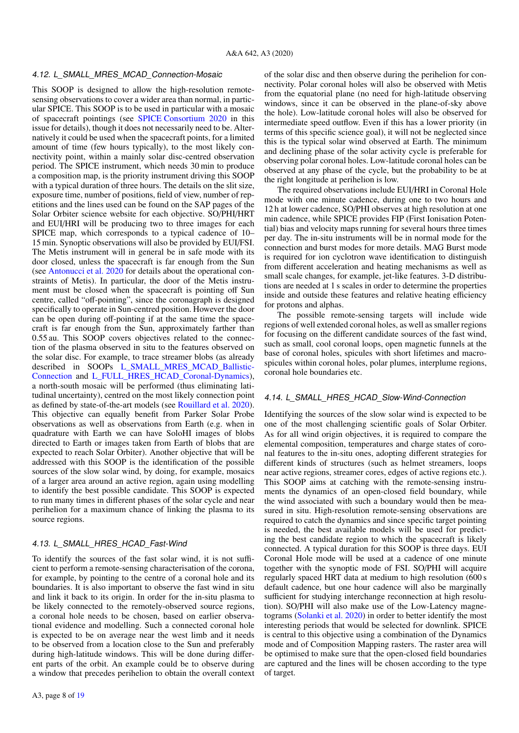#### <span id="page-7-0"></span>4.12. L\_SMALL\_MRES\_MCAD\_Connection-Mosaic

This SOOP is designed to allow the high-resolution remotesensing observations to cover a wider area than normal, in particular SPICE. This SOOP is to be used in particular with a mosaic of spacecraft pointings (see [SPICE Consortium](#page-17-61) [2020](#page-17-61) in this issue for details), though it does not necessarily need to be. Alternatively it could be used when the spacecraft points, for a limited amount of time (few hours typically), to the most likely connectivity point, within a mainly solar disc-centred observation period. The SPICE instrument, which needs 30 min to produce a composition map, is the priority instrument driving this SOOP with a typical duration of three hours. The details on the slit size, exposure time, number of positions, field of view, number of repetitions and the lines used can be found on the SAP pages of the Solar Orbiter science website for each objective. SO/PHI/HRT and EUI/HRI will be producing two to three images for each SPICE map, which corresponds to a typical cadence of 10– 15 min. Synoptic observations will also be provided by EUI/FSI. The Metis instrument will in general be in safe mode with its door closed, unless the spacecraft is far enough from the Sun (see [Antonucci et al.](#page-16-21) [2020](#page-16-21) for details about the operational constraints of Metis). In particular, the door of the Metis instrument must be closed when the spacecraft is pointing off Sun centre, called "off-pointing", since the coronagraph is designed specifically to operate in Sun-centred position. However the door can be open during off-pointing if at the same time the spacecraft is far enough from the Sun, approximately farther than 0.55 au. This SOOP covers objectives related to the connection of the plasma observed in situ to the features observed on the solar disc. For example, to trace streamer blobs (as already described in SOOPs [L\\_SMALL\\_MRES\\_MCAD\\_Ballistic-](#page-6-3)[Connection](#page-6-3) and [L\\_FULL\\_HRES\\_HCAD\\_Coronal-Dynamics\)](#page-6-2), a north-south mosaic will be performed (thus eliminating latitudinal uncertainty), centred on the most likely connection point as defined by state-of-the-art models (see [Rouillard et al.](#page-17-62) [2020\)](#page-17-62). This objective can equally benefit from Parker Solar Probe observations as well as observations from Earth (e.g. when in quadrature with Earth we can have SoloHI images of blobs directed to Earth or images taken from Earth of blobs that are expected to reach Solar Orbiter). Another objective that will be addressed with this SOOP is the identification of the possible sources of the slow solar wind, by doing, for example, mosaics of a larger area around an active region, again using modelling to identify the best possible candidate. This SOOP is expected to run many times in different phases of the solar cycle and near perihelion for a maximum chance of linking the plasma to its source regions.

#### <span id="page-7-1"></span>4.13. L\_SMALL\_HRES\_HCAD\_Fast-Wind

To identify the sources of the fast solar wind, it is not sufficient to perform a remote-sensing characterisation of the corona, for example, by pointing to the centre of a coronal hole and its boundaries. It is also important to observe the fast wind in situ and link it back to its origin. In order for the in-situ plasma to be likely connected to the remotely-observed source regions, a coronal hole needs to be chosen, based on earlier observational evidence and modelling. Such a connected coronal hole is expected to be on average near the west limb and it needs to be observed from a location close to the Sun and preferably during high-latitude windows. This will be done during different parts of the orbit. An example could be to observe during a window that precedes perihelion to obtain the overall context of the solar disc and then observe during the perihelion for connectivity. Polar coronal holes will also be observed with Metis from the equatorial plane (no need for high-latitude observing windows, since it can be observed in the plane-of-sky above the hole). Low-latitude coronal holes will also be observed for intermediate speed outflow. Even if this has a lower priority (in terms of this specific science goal), it will not be neglected since this is the typical solar wind observed at Earth. The minimum and declining phase of the solar activity cycle is preferable for observing polar coronal holes. Low-latitude coronal holes can be observed at any phase of the cycle, but the probability to be at the right longitude at perihelion is low.

The required observations include EUI/HRI in Coronal Hole mode with one minute cadence, during one to two hours and 12 h at lower cadence, SO/PHI observes at high resolution at one min cadence, while SPICE provides FIP (First Ionisation Potential) bias and velocity maps running for several hours three times per day. The in-situ instruments will be in normal mode for the connection and burst modes for more details. MAG Burst mode is required for ion cyclotron wave identification to distinguish from different acceleration and heating mechanisms as well as small scale changes, for example, jet-like features. 3-D distributions are needed at 1 s scales in order to determine the properties inside and outside these features and relative heating efficiency for protons and alphas.

The possible remote-sensing targets will include wide regions of well extended coronal holes, as well as smaller regions for focusing on the different candidate sources of the fast wind, such as small, cool coronal loops, open magnetic funnels at the base of coronal holes, spicules with short lifetimes and macrospicules within coronal holes, polar plumes, interplume regions, coronal hole boundaries etc.

#### <span id="page-7-2"></span>4.14. L\_SMALL\_HRES\_HCAD\_Slow-Wind-Connection

Identifying the sources of the slow solar wind is expected to be one of the most challenging scientific goals of Solar Orbiter. As for all wind origin objectives, it is required to compare the elemental composition, temperatures and charge states of coronal features to the in-situ ones, adopting different strategies for different kinds of structures (such as helmet streamers, loops near active regions, streamer cores, edges of active regions etc.). This SOOP aims at catching with the remote-sensing instruments the dynamics of an open-closed field boundary, while the wind associated with such a boundary would then be measured in situ. High-resolution remote-sensing observations are required to catch the dynamics and since specific target pointing is needed, the best available models will be used for predicting the best candidate region to which the spacecraft is likely connected. A typical duration for this SOOP is three days. EUI Coronal Hole mode will be used at a cadence of one minute together with the synoptic mode of FSI. SO/PHI will acquire regularly spaced HRT data at medium to high resolution (600 s default cadence, but one hour cadence will also be marginally sufficient for studying interchange reconnection at high resolution). SO/PHI will also make use of the Low-Latency magnetograms [\(Solanki et al.](#page-17-60) [2020\)](#page-17-60) in order to better identify the most interesting periods that would be selected for downlink. SPICE is central to this objective using a combination of the Dynamics mode and of Composition Mapping rasters. The raster area will be optimised to make sure that the open-closed field boundaries are captured and the lines will be chosen according to the type of target.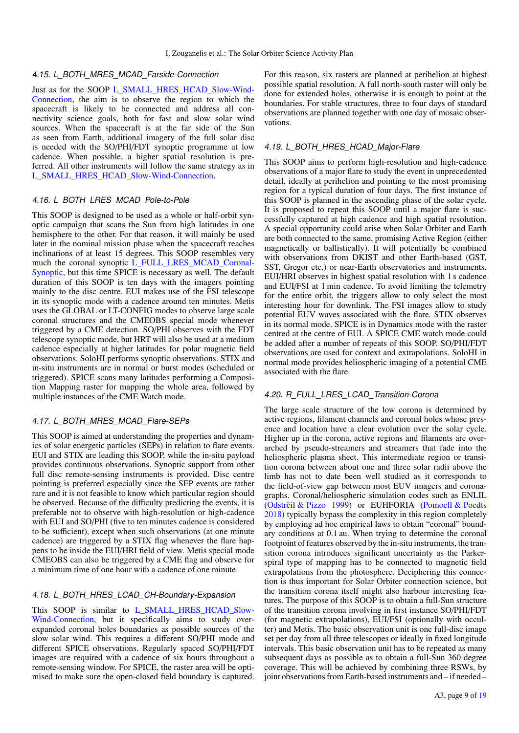#### <span id="page-8-0"></span>4.15. L\_BOTH\_MRES\_MCAD\_Farside-Connection

Just as for the SOOP [L\\_SMALL\\_HRES\\_HCAD\\_Slow-Wind-](#page-7-2)[Connection,](#page-7-2) the aim is to observe the region to which the spacecraft is likely to be connected and address all connectivity science goals, both for fast and slow solar wind sources. When the spacecraft is at the far side of the Sun as seen from Earth, additional imagery of the full solar disc is needed with the SO/PHI/FDT synoptic programme at low cadence. When possible, a higher spatial resolution is preferred. All other instruments will follow the same strategy as in [L\\_SMALL\\_HRES\\_HCAD\\_Slow-Wind-Connection.](#page-7-2)

#### <span id="page-8-1"></span>4.16. L\_BOTH\_LRES\_MCAD\_Pole-to-Pole

This SOOP is designed to be used as a whole or half-orbit synoptic campaign that scans the Sun from high latitudes in one hemisphere to the other. For that reason, it will mainly be used later in the nominal mission phase when the spacecraft reaches inclinations of at least 15 degrees. This SOOP resembles very much the coronal synoptic [L\\_FULL\\_LRES\\_MCAD\\_Coronal-](#page-5-0)[Synoptic,](#page-5-0) but this time SPICE is necessary as well. The default duration of this SOOP is ten days with the imagers pointing mainly to the disc centre. EUI makes use of the FSI telescope in its synoptic mode with a cadence around ten minutes. Metis uses the GLOBAL or LT-CONFIG modes to observe large scale coronal structures and the CMEOBS special mode whenever triggered by a CME detection. SO/PHI observes with the FDT telescope synoptic mode, but HRT will also be used at a medium cadence especially at higher latitudes for polar magnetic field observations. SoloHI performs synoptic observations. STIX and in-situ instruments are in normal or burst modes (scheduled or triggered). SPICE scans many latitudes performing a Composition Mapping raster for mapping the whole area, followed by multiple instances of the CME Watch mode.

## <span id="page-8-2"></span>4.17. L\_BOTH\_MRES\_MCAD\_Flare-SEPs

This SOOP is aimed at understanding the properties and dynamics of solar energetic particles (SEPs) in relation to flare events. EUI and STIX are leading this SOOP, while the in-situ payload provides continuous observations. Synoptic support from other full disc remote-sensing instruments is provided. Disc centre pointing is preferred especially since the SEP events are rather rare and it is not feasible to know which particular region should be observed. Because of the difficulty predicting the events, it is preferable not to observe with high-resolution or high-cadence with EUI and SO/PHI (five to ten minutes cadence is considered to be sufficient), except when such observations (at one minute cadence) are triggered by a STIX flag whenever the flare happens to be inside the EUI/HRI field of view. Metis special mode CMEOBS can also be triggered by a CME flag and observe for a minimum time of one hour with a cadence of one minute.

## <span id="page-8-3"></span>4.18. L\_BOTH\_HRES\_LCAD\_CH-Boundary-Expansion

This SOOP is similar to [L\\_SMALL\\_HRES\\_HCAD\\_Slow-](#page-7-2)[Wind-Connection,](#page-7-2) but it specifically aims to study overexpanded coronal holes boundaries as possible sources of the slow solar wind. This requires a different SO/PHI mode and different SPICE observations. Regularly spaced SO/PHI/FDT images are required with a cadence of six hours throughout a remote-sensing window. For SPICE, the raster area will be optimised to make sure the open-closed field boundary is captured. For this reason, six rasters are planned at perihelion at highest possible spatial resolution. A full north-south raster will only be done for extended holes, otherwise it is enough to point at the boundaries. For stable structures, three to four days of standard observations are planned together with one day of mosaic observations.

## <span id="page-8-4"></span>4.19. L\_BOTH\_HRES\_HCAD\_Major-Flare

This SOOP aims to perform high-resolution and high-cadence observations of a major flare to study the event in unprecedented detail, ideally at perihelion and pointing to the most promising region for a typical duration of four days. The first instance of this SOOP is planned in the ascending phase of the solar cycle. It is proposed to repeat this SOOP until a major flare is successfully captured at high cadence and high spatial resolution. A special opportunity could arise when Solar Orbiter and Earth are both connected to the same, promising Active Region (either magnetically or ballistically). It will potentially be combined with observations from DKIST and other Earth-based (GST, SST, Gregor etc.) or near-Earth observatories and instruments. EUI/HRI observes in highest spatial resolution with 1 s cadence and EUI/FSI at 1 min cadence. To avoid limiting the telemetry for the entire orbit, the triggers allow to only select the most interesting hour for downlink. The FSI images allow to study potential EUV waves associated with the flare. STIX observes in its normal mode. SPICE is in Dynamics mode with the raster centred at the centre of EUI. A SPICE CME watch mode could be added after a number of repeats of this SOOP. SO/PHI/FDT observations are used for context and extrapolations. SoloHI in normal mode provides heliospheric imaging of a potential CME associated with the flare.

## <span id="page-8-5"></span>4.20. R\_FULL\_LRES\_LCAD\_Transition-Corona

The large scale structure of the low corona is determined by active regions, filament channels and coronal holes whose presence and location have a clear evolution over the solar cycle. Higher up in the corona, active regions and filaments are overarched by pseudo-streamers and streamers that fade into the heliospheric plasma sheet. This intermediate region or transition corona between about one and three solar radii above the limb has not to date been well studied as it corresponds to the field-of-view gap between most EUV imagers and coronagraphs. Coronal/heliospheric simulation codes such as ENLIL (Odstrčil & Pizzo [1999\)](#page-16-24) or EUHFORIA [\(Pomoell & Poedts](#page-16-25) [2018\)](#page-16-25) typically bypass the complexity in this region completely by employing ad hoc empirical laws to obtain "coronal" boundary conditions at 0.1 au. When trying to determine the coronal footpoint of features observed by the in-situ instruments, the transition corona introduces significant uncertainty as the Parkerspiral type of mapping has to be connected to magnetic field extrapolations from the photosphere. Deciphering this connection is thus important for Solar Orbiter connection science, but the transition corona itself might also harbour interesting features. The purpose of this SOOP is to obtain a full-Sun structure of the transition corona involving in first instance SO/PHI/FDT (for magnetic extrapolations), EUI/FSI (optionally with occulter) and Metis. The basic observation unit is one full-disc image set per day from all three telescopes or ideally in fixed longitude intervals. This basic observation unit has to be repeated as many subsequent days as possible as to obtain a full-Sun 360 degree coverage. This will be achieved by combining three RSWs, by joint observations from Earth-based instruments and – if needed –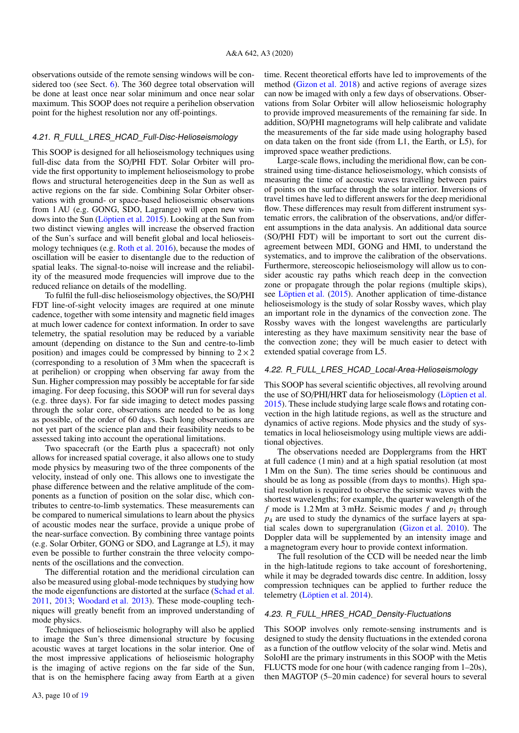observations outside of the remote sensing windows will be considered too (see Sect. [6\)](#page-14-0). The 360 degree total observation will be done at least once near solar minimum and once near solar maximum. This SOOP does not require a perihelion observation point for the highest resolution nor any off-pointings.

## <span id="page-9-0"></span>4.21. R\_FULL\_LRES\_HCAD\_Full-Disc-Helioseismology

This SOOP is designed for all helioseismology techniques using full-disc data from the SO/PHI FDT. Solar Orbiter will provide the first opportunity to implement helioseismology to probe flows and structural heterogeneities deep in the Sun as well as active regions on the far side. Combining Solar Orbiter observations with ground- or space-based helioseismic observations from 1 AU (e.g. GONG, SDO, Lagrange) will open new windows into the Sun [\(Löptien et al.](#page-16-26) [2015\)](#page-16-26). Looking at the Sun from two distinct viewing angles will increase the observed fraction of the Sun's surface and will benefit global and local helioseismology techniques (e.g. [Roth et al.](#page-17-63) [2016\)](#page-17-63), because the modes of oscillation will be easier to disentangle due to the reduction of spatial leaks. The signal-to-noise will increase and the reliability of the measured mode frequencies will improve due to the reduced reliance on details of the modelling.

To fulfil the full-disc helioseismology objectives, the SO/PHI FDT line-of-sight velocity images are required at one minute cadence, together with some intensity and magnetic field images at much lower cadence for context information. In order to save telemetry, the spatial resolution may be reduced by a variable amount (depending on distance to the Sun and centre-to-limb position) and images could be compressed by binning to  $2 \times 2$ (corresponding to a resolution of 3 Mm when the spacecraft is at perihelion) or cropping when observing far away from the Sun. Higher compression may possibly be acceptable for far side imaging. For deep focusing, this SOOP will run for several days (e.g. three days). For far side imaging to detect modes passing through the solar core, observations are needed to be as long as possible, of the order of 60 days. Such long observations are not yet part of the science plan and their feasibility needs to be assessed taking into account the operational limitations.

Two spacecraft (or the Earth plus a spacecraft) not only allows for increased spatial coverage, it also allows one to study mode physics by measuring two of the three components of the velocity, instead of only one. This allows one to investigate the phase difference between and the relative amplitude of the components as a function of position on the solar disc, which contributes to centre-to-limb systematics. These measurements can be compared to numerical simulations to learn about the physics of acoustic modes near the surface, provide a unique probe of the near-surface convection. By combining three vantage points (e.g. Solar Orbiter, GONG or SDO, and Lagrange at L5), it may even be possible to further constrain the three velocity components of the oscillations and the convection.

The differential rotation and the meridional circulation can also be measured using global-mode techniques by studying how the mode eigenfunctions are distorted at the surface [\(Schad et al.](#page-17-64) [2011,](#page-17-64) [2013;](#page-17-65) [Woodard et al.](#page-17-66) [2013\)](#page-17-66). These mode-coupling techniques will greatly benefit from an improved understanding of mode physics.

Techniques of helioseismic holography will also be applied to image the Sun's three dimensional structure by focusing acoustic waves at target locations in the solar interior. One of the most impressive applications of helioseismic holography is the imaging of active regions on the far side of the Sun, that is on the hemisphere facing away from Earth at a given

time. Recent theoretical efforts have led to improvements of the method [\(Gizon et al.](#page-16-27) [2018\)](#page-16-27) and active regions of average sizes can now be imaged with only a few days of observations. Observations from Solar Orbiter will allow helioseismic holography to provide improved measurements of the remaining far side. In addition, SO/PHI magnetograms will help calibrate and validate the measurements of the far side made using holography based on data taken on the front side (from L1, the Earth, or L5), for improved space weather predictions.

Large-scale flows, including the meridional flow, can be constrained using time-distance helioseismology, which consists of measuring the time of acoustic waves travelling between pairs of points on the surface through the solar interior. Inversions of travel times have led to different answers for the deep meridional flow. These differences may result from different instrument systematic errors, the calibration of the observations, and/or different assumptions in the data analysis. An additional data source (SO/PHI FDT) will be important to sort out the current disagreement between MDI, GONG and HMI, to understand the systematics, and to improve the calibration of the observations. Furthermore, stereoscopic helioseismology will allow us to consider acoustic ray paths which reach deep in the convection zone or propagate through the polar regions (multiple skips), see [Löptien et al.](#page-16-26) [\(2015\)](#page-16-26). Another application of time-distance helioseismology is the study of solar Rossby waves, which play an important role in the dynamics of the convection zone. The Rossby waves with the longest wavelengths are particularly interesting as they have maximum sensitivity near the base of the convection zone; they will be much easier to detect with extended spatial coverage from L5.

## <span id="page-9-1"></span>4.22. R\_FULL\_LRES\_HCAD\_Local-Area-Helioseismology

This SOOP has several scientific objectives, all revolving around the use of SO/PHI/HRT data for helioseismology [\(Löptien et al.](#page-16-26) [2015\)](#page-16-26). These include studying large scale flows and rotating convection in the high latitude regions, as well as the structure and dynamics of active regions. Mode physics and the study of systematics in local helioseismology using multiple views are additional objectives.

The observations needed are Dopplergrams from the HRT at full cadence (1 min) and at a high spatial resolution (at most 1 Mm on the Sun). The time series should be continuous and should be as long as possible (from days to months). High spatial resolution is required to observe the seismic waves with the shortest wavelengths; for example, the quarter wavelength of the *f* mode is 1.2 Mm at 3 mHz. Seismic modes *f* and  $p_1$  through *p*<sup>4</sup> are used to study the dynamics of the surface layers at spatial scales down to supergranulation [\(Gizon et al.](#page-16-28) [2010\)](#page-16-28). The Doppler data will be supplemented by an intensity image and a magnetogram every hour to provide context information.

The full resolution of the CCD will be needed near the limb in the high-latitude regions to take account of foreshortening, while it may be degraded towards disc centre. In addition, lossy compression techniques can be applied to further reduce the telemetry [\(Löptien et al.](#page-16-29) [2014\)](#page-16-29).

## <span id="page-9-2"></span>4.23. R\_FULL\_HRES\_HCAD\_Density-Fluctuations

This SOOP involves only remote-sensing instruments and is designed to study the density fluctuations in the extended corona as a function of the outflow velocity of the solar wind. Metis and SoloHI are the primary instruments in this SOOP with the Metis FLUCTS mode for one hour (with cadence ranging from 1–20s), then MAGTOP (5–20 min cadence) for several hours to several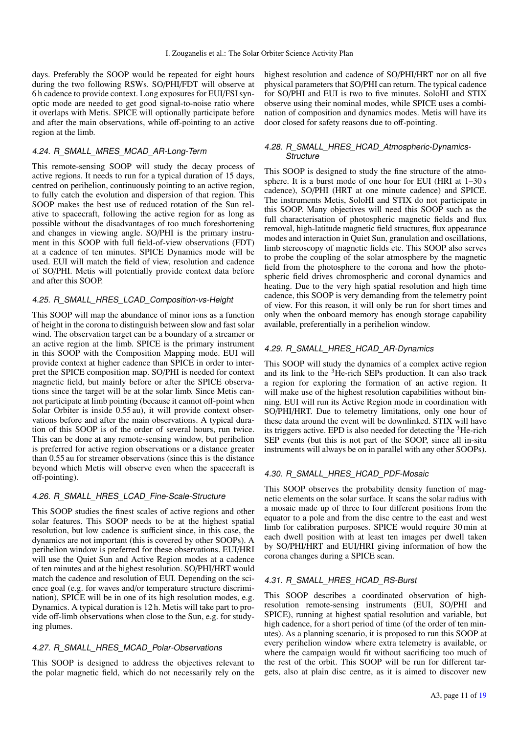days. Preferably the SOOP would be repeated for eight hours during the two following RSWs. SO/PHI/FDT will observe at 6 h cadence to provide context. Long exposures for EUI/FSI synoptic mode are needed to get good signal-to-noise ratio where it overlaps with Metis. SPICE will optionally participate before and after the main observations, while off-pointing to an active region at the limb.

## <span id="page-10-0"></span>4.24. R\_SMALL\_MRES\_MCAD\_AR-Long-Term

This remote-sensing SOOP will study the decay process of active regions. It needs to run for a typical duration of 15 days, centred on perihelion, continuously pointing to an active region, to fully catch the evolution and dispersion of that region. This SOOP makes the best use of reduced rotation of the Sun relative to spacecraft, following the active region for as long as possible without the disadvantages of too much foreshortening and changes in viewing angle. SO/PHI is the primary instrument in this SOOP with full field-of-view observations (FDT) at a cadence of ten minutes. SPICE Dynamics mode will be used. EUI will match the field of view, resolution and cadence of SO/PHI. Metis will potentially provide context data before and after this SOOP.

#### <span id="page-10-1"></span>4.25. R\_SMALL\_HRES\_LCAD\_Composition-vs-Height

This SOOP will map the abundance of minor ions as a function of height in the corona to distinguish between slow and fast solar wind. The observation target can be a boundary of a streamer or an active region at the limb. SPICE is the primary instrument in this SOOP with the Composition Mapping mode. EUI will provide context at higher cadence than SPICE in order to interpret the SPICE composition map. SO/PHI is needed for context magnetic field, but mainly before or after the SPICE observations since the target will be at the solar limb. Since Metis cannot participate at limb pointing (because it cannot off-point when Solar Orbiter is inside 0.55 au), it will provide context observations before and after the main observations. A typical duration of this SOOP is of the order of several hours, run twice. This can be done at any remote-sensing window, but perihelion is preferred for active region observations or a distance greater than 0.55 au for streamer observations (since this is the distance beyond which Metis will observe even when the spacecraft is off-pointing).

## <span id="page-10-2"></span>4.26. R\_SMALL\_HRES\_LCAD\_Fine-Scale-Structure

This SOOP studies the finest scales of active regions and other solar features. This SOOP needs to be at the highest spatial resolution, but low cadence is sufficient since, in this case, the dynamics are not important (this is covered by other SOOPs). A perihelion window is preferred for these observations. EUI/HRI will use the Quiet Sun and Active Region modes at a cadence of ten minutes and at the highest resolution. SO/PHI/HRT would match the cadence and resolution of EUI. Depending on the science goal (e.g. for waves and/or temperature structure discrimination), SPICE will be in one of its high resolution modes, e.g. Dynamics. A typical duration is 12 h. Metis will take part to provide off-limb observations when close to the Sun, e.g. for studying plumes.

## <span id="page-10-3"></span>4.27. R\_SMALL\_HRES\_MCAD\_Polar-Observations

This SOOP is designed to address the objectives relevant to the polar magnetic field, which do not necessarily rely on the

highest resolution and cadence of SO/PHI/HRT nor on all five physical parameters that SO/PHI can return. The typical cadence for SO/PHI and EUI is two to five minutes. SoloHI and STIX observe using their nominal modes, while SPICE uses a combination of composition and dynamics modes. Metis will have its door closed for safety reasons due to off-pointing.

## <span id="page-10-4"></span>4.28. R\_SMALL\_HRES\_HCAD\_Atmospheric-Dynamics-**Structure**

This SOOP is designed to study the fine structure of the atmosphere. It is a burst mode of one hour for EUI (HRI at  $1-30s$ ) cadence), SO/PHI (HRT at one minute cadence) and SPICE. The instruments Metis, SoloHI and STIX do not participate in this SOOP. Many objectives will need this SOOP such as the full characterisation of photospheric magnetic fields and flux removal, high-latitude magnetic field structures, flux appearance modes and interaction in Quiet Sun, granulation and oscillations, limb stereoscopy of magnetic fields etc. This SOOP also serves to probe the coupling of the solar atmosphere by the magnetic field from the photosphere to the corona and how the photospheric field drives chromospheric and coronal dynamics and heating. Due to the very high spatial resolution and high time cadence, this SOOP is very demanding from the telemetry point of view. For this reason, it will only be run for short times and only when the onboard memory has enough storage capability available, preferentially in a perihelion window.

## <span id="page-10-5"></span>4.29. R\_SMALL\_HRES\_HCAD\_AR-Dynamics

This SOOP will study the dynamics of a complex active region and its link to the <sup>3</sup>He-rich SEPs production. It can also track a region for exploring the formation of an active region. It will make use of the highest resolution capabilities without binning. EUI will run its Active Region mode in coordination with SO/PHI/HRT. Due to telemetry limitations, only one hour of these data around the event will be downlinked. STIX will have its triggers active. EPD is also needed for detecting the <sup>3</sup>He-rich SEP events (but this is not part of the SOOP, since all in-situ instruments will always be on in parallel with any other SOOPs).

## <span id="page-10-6"></span>4.30. R\_SMALL\_HRES\_HCAD\_PDF-Mosaic

This SOOP observes the probability density function of magnetic elements on the solar surface. It scans the solar radius with a mosaic made up of three to four different positions from the equator to a pole and from the disc centre to the east and west limb for calibration purposes. SPICE would require 30 min at each dwell position with at least ten images per dwell taken by SO/PHI/HRT and EUI/HRI giving information of how the corona changes during a SPICE scan.

## <span id="page-10-7"></span>4.31. R\_SMALL\_HRES\_HCAD\_RS-Burst

This SOOP describes a coordinated observation of highresolution remote-sensing instruments (EUI, SO/PHI and SPICE), running at highest spatial resolution and variable, but high cadence, for a short period of time (of the order of ten minutes). As a planning scenario, it is proposed to run this SOOP at every perihelion window where extra telemetry is available, or where the campaign would fit without sacrificing too much of the rest of the orbit. This SOOP will be run for different targets, also at plain disc centre, as it is aimed to discover new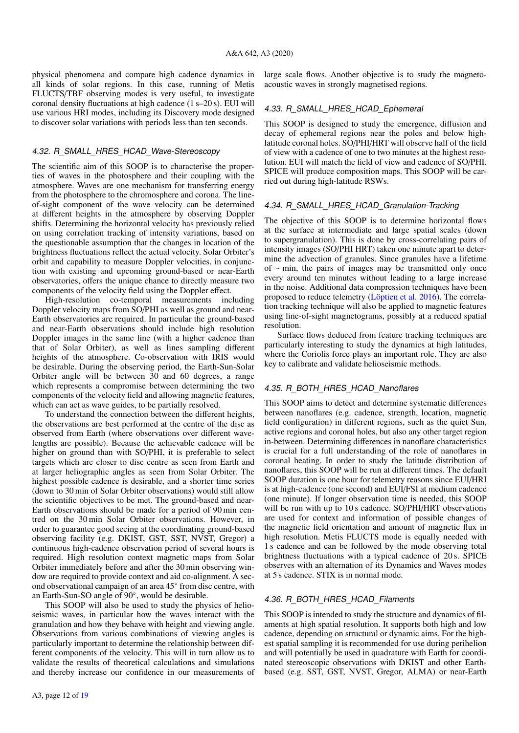physical phenomena and compare high cadence dynamics in all kinds of solar regions. In this case, running of Metis FLUCTS/TBF observing modes is very useful, to investigate coronal density fluctuations at high cadence (1 s–20 s). EUI will use various HRI modes, including its Discovery mode designed to discover solar variations with periods less than ten seconds.

#### <span id="page-11-0"></span>4.32. R\_SMALL\_HRES\_HCAD\_Wave-Stereoscopy

The scientific aim of this SOOP is to characterise the properties of waves in the photosphere and their coupling with the atmosphere. Waves are one mechanism for transferring energy from the photosphere to the chromosphere and corona. The lineof-sight component of the wave velocity can be determined at different heights in the atmosphere by observing Doppler shifts. Determining the horizontal velocity has previously relied on using correlation tracking of intensity variations, based on the questionable assumption that the changes in location of the brightness fluctuations reflect the actual velocity. Solar Orbiter's orbit and capability to measure Doppler velocities, in conjunction with existing and upcoming ground-based or near-Earth observatories, offers the unique chance to directly measure two components of the velocity field using the Doppler effect.

High-resolution co-temporal measurements including Doppler velocity maps from SO/PHI as well as ground and near-Earth observatories are required. In particular the ground-based and near-Earth observations should include high resolution Doppler images in the same line (with a higher cadence than that of Solar Orbiter), as well as lines sampling different heights of the atmosphere. Co-observation with IRIS would be desirable. During the observing period, the Earth-Sun-Solar Orbiter angle will be between 30 and 60 degrees, a range which represents a compromise between determining the two components of the velocity field and allowing magnetic features, which can act as wave guides, to be partially resolved.

To understand the connection between the different heights, the observations are best performed at the centre of the disc as observed from Earth (where observations over different wavelengths are possible). Because the achievable cadence will be higher on ground than with SO/PHI, it is preferable to select targets which are closer to disc centre as seen from Earth and at larger heliographic angles as seen from Solar Orbiter. The highest possible cadence is desirable, and a shorter time series (down to 30 min of Solar Orbiter observations) would still allow the scientific objectives to be met. The ground-based and near-Earth observations should be made for a period of 90 min centred on the 30 min Solar Orbiter observations. However, in order to guarantee good seeing at the coordinating ground-based observing facility (e.g. DKIST, GST, SST, NVST, Gregor) a continuous high-cadence observation period of several hours is required. High resolution context magnetic maps from Solar Orbiter immediately before and after the 30 min observing window are required to provide context and aid co-alignment. A second observational campaign of an area 45◦ from disc centre, with an Earth-Sun-SO angle of 90◦ , would be desirable.

This SOOP will also be used to study the physics of helioseismic waves, in particular how the waves interact with the granulation and how they behave with height and viewing angle. Observations from various combinations of viewing angles is particularly important to determine the relationship between different components of the velocity. This will in turn allow us to validate the results of theoretical calculations and simulations and thereby increase our confidence in our measurements of large scale flows. Another objective is to study the magnetoacoustic waves in strongly magnetised regions.

## <span id="page-11-1"></span>4.33. R\_SMALL\_HRES\_HCAD\_Ephemeral

This SOOP is designed to study the emergence, diffusion and decay of ephemeral regions near the poles and below highlatitude coronal holes. SO/PHI/HRT will observe half of the field of view with a cadence of one to two minutes at the highest resolution. EUI will match the field of view and cadence of SO/PHI. SPICE will produce composition maps. This SOOP will be carried out during high-latitude RSWs.

## <span id="page-11-2"></span>4.34. R\_SMALL\_HRES\_HCAD\_Granulation-Tracking

The objective of this SOOP is to determine horizontal flows at the surface at intermediate and large spatial scales (down to supergranulation). This is done by cross-correlating pairs of intensity images (SO/PHI HRT) taken one minute apart to determine the advection of granules. Since granules have a lifetime of ∼ min, the pairs of images may be transmitted only once every around ten minutes without leading to a large increase in the noise. Additional data compression techniques have been proposed to reduce telemetry [\(Löptien et al.](#page-16-30) [2016\)](#page-16-30). The correlation tracking technique will also be applied to magnetic features using line-of-sight magnetograms, possibly at a reduced spatial resolution.

Surface flows deduced from feature tracking techniques are particularly interesting to study the dynamics at high latitudes, where the Coriolis force plays an important role. They are also key to calibrate and validate helioseismic methods.

#### <span id="page-11-3"></span>4.35. R\_BOTH\_HRES\_HCAD\_Nanoflares

This SOOP aims to detect and determine systematic differences between nanoflares (e.g. cadence, strength, location, magnetic field configuration) in different regions, such as the quiet Sun, active regions and coronal holes, but also any other target region in-between. Determining differences in nanoflare characteristics is crucial for a full understanding of the role of nanoflares in coronal heating. In order to study the latitude distribution of nanoflares, this SOOP will be run at different times. The default SOOP duration is one hour for telemetry reasons since EUI/HRI is at high-cadence (one second) and EUI/FSI at medium cadence (one minute). If longer observation time is needed, this SOOP will be run with up to 10 s cadence. SO/PHI/HRT observations are used for context and information of possible changes of the magnetic field orientation and amount of magnetic flux in high resolution. Metis FLUCTS mode is equally needed with 1 s cadence and can be followed by the mode observing total brightness fluctuations with a typical cadence of 20 s. SPICE observes with an alternation of its Dynamics and Waves modes at 5 s cadence. STIX is in normal mode.

## <span id="page-11-4"></span>4.36. R\_BOTH\_HRES\_HCAD\_Filaments

This SOOP is intended to study the structure and dynamics of filaments at high spatial resolution. It supports both high and low cadence, depending on structural or dynamic aims. For the highest spatial sampling it is recommended for use during perihelion and will potentially be used in quadrature with Earth for coordinated stereoscopic observations with DKIST and other Earthbased (e.g. SST, GST, NVST, Gregor, ALMA) or near-Earth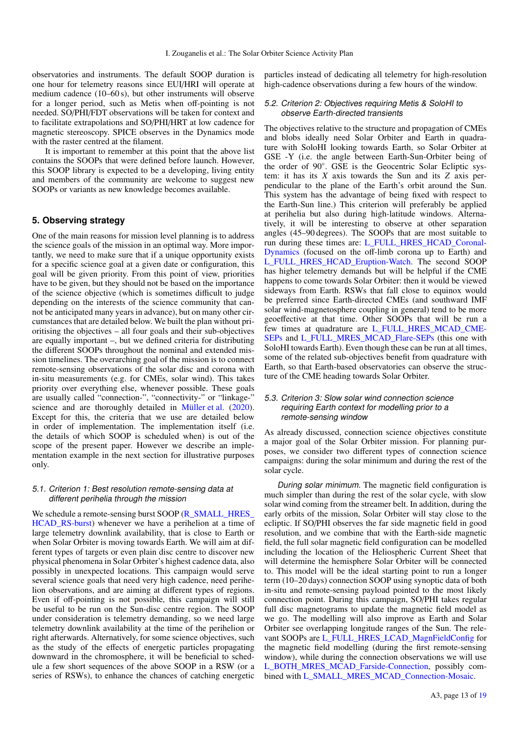observatories and instruments. The default SOOP duration is one hour for telemetry reasons since EUI/HRI will operate at medium cadence (10–60 s), but other instruments will observe for a longer period, such as Metis when off-pointing is not needed. SO/PHI/FDT observations will be taken for context and to facilitate extrapolations and SO/PHI/HRT at low cadence for magnetic stereoscopy. SPICE observes in the Dynamics mode with the raster centred at the filament.

It is important to remember at this point that the above list contains the SOOPs that were defined before launch. However, this SOOP library is expected to be a developing, living entity and members of the community are welcome to suggest new SOOPs or variants as new knowledge becomes available.

## <span id="page-12-0"></span>**5. Observing strategy**

One of the main reasons for mission level planning is to address the science goals of the mission in an optimal way. More importantly, we need to make sure that if a unique opportunity exists for a specific science goal at a given date or configuration, this goal will be given priority. From this point of view, priorities have to be given, but they should not be based on the importance of the science objective (which is sometimes difficult to judge depending on the interests of the science community that cannot be anticipated many years in advance), but on many other circumstances that are detailed below. We built the plan without prioritising the objectives – all four goals and their sub-objectives are equally important –, but we defined criteria for distributing the different SOOPs throughout the nominal and extended mission timelines. The overarching goal of the mission is to connect remote-sensing observations of the solar disc and corona with in-situ measurements (e.g. for CMEs, solar wind). This takes priority over everything else, whenever possible. These goals are usually called "connection-", "connectivity-" or "linkage-" science and are thoroughly detailed in [Müller et al.](#page-16-0) [\(2020\)](#page-16-0). Except for this, the criteria that we use are detailed below in order of implementation. The implementation itself (i.e. the details of which SOOP is scheduled when) is out of the scope of the present paper. However we describe an implementation example in the next section for illustrative purposes only.

## 5.1. Criterion 1: Best resolution remote-sensing data at different perihelia through the mission

We schedule a remote-sensing burst SOOP [\(R\\_SMALL\\_HRES\\_](#page-10-7) [HCAD\\_RS-burst\)](#page-10-7) whenever we have a perihelion at a time of large telemetry downlink availability, that is close to Earth or when Solar Orbiter is moving towards Earth. We will aim at different types of targets or even plain disc centre to discover new physical phenomena in Solar Orbiter's highest cadence data, also possibly in unexpected locations. This campaign would serve several science goals that need very high cadence, need perihelion observations, and are aiming at different types of regions. Even if off-pointing is not possible, this campaign will still be useful to be run on the Sun-disc centre region. The SOOP under consideration is telemetry demanding, so we need large telemetry downlink availability at the time of the perihelion or right afterwards. Alternatively, for some science objectives, such as the study of the effects of energetic particles propagating downward in the chromosphere, it will be beneficial to schedule a few short sequences of the above SOOP in a RSW (or a series of RSWs), to enhance the chances of catching energetic

particles instead of dedicating all telemetry for high-resolution high-cadence observations during a few hours of the window.

## 5.2. Criterion 2: Objectives requiring Metis & SoloHI to observe Earth-directed transients

The objectives relative to the structure and propagation of CMEs and blobs ideally need Solar Orbiter and Earth in quadrature with SoloHI looking towards Earth, so Solar Orbiter at GSE -Y (i.e. the angle between Earth-Sun-Orbiter being of the order of 90◦ . GSE is the Geocentric Solar Ecliptic system: it has its *X* axis towards the Sun and its *Z* axis perpendicular to the plane of the Earth's orbit around the Sun. This system has the advantage of being fixed with respect to the Earth-Sun line.) This criterion will preferably be applied at perihelia but also during high-latitude windows. Alternatively, it will be interesting to observe at other separation angles (45–90 degrees). The SOOPs that are most suitable to run during these times are: [L\\_FULL\\_HRES\\_HCAD\\_Coronal-](#page-6-2)[Dynamics](#page-6-2) (focused on the off-limb corona up to Earth) and [L\\_FULL\\_HRES\\_HCAD\\_Eruption-Watch.](#page-6-1) The second SOOP has higher telemetry demands but will be helpful if the CME happens to come towards Solar Orbiter: then it would be viewed sideways from Earth. RSWs that fall close to equinox would be preferred since Earth-directed CMEs (and southward IMF solar wind-magnetosphere coupling in general) tend to be more geoeffective at that time. Other SOOPs that will be run a few times at quadrature are [L\\_FULL\\_HRES\\_MCAD\\_CME-](#page-5-2)[SEPs](#page-5-2) and [L\\_FULL\\_MRES\\_MCAD\\_Flare-SEPs](#page-8-2) (this one with SoloHI towards Earth). Even though these can be run at all times, some of the related sub-objectives benefit from quadrature with Earth, so that Earth-based observatories can observe the structure of the CME heading towards Solar Orbiter.

## 5.3. Criterion 3: Slow solar wind connection science requiring Earth context for modelling prior to a remote-sensing window

As already discussed, connection science objectives constitute a major goal of the Solar Orbiter mission. For planning purposes, we consider two different types of connection science campaigns: during the solar minimum and during the rest of the solar cycle.

During solar minimum. The magnetic field configuration is much simpler than during the rest of the solar cycle, with slow solar wind coming from the streamer belt. In addition, during the early orbits of the mission, Solar Orbiter will stay close to the ecliptic. If SO/PHI observes the far side magnetic field in good resolution, and we combine that with the Earth-side magnetic field, the full solar magnetic field configuration can be modelled including the location of the Heliospheric Current Sheet that will determine the hemisphere Solar Orbiter will be connected to. This model will be the ideal starting point to run a longer term (10–20 days) connection SOOP using synoptic data of both in-situ and remote-sensing payload pointed to the most likely connection point. During this campaign, SO/PHI takes regular full disc magnetograms to update the magnetic field model as we go. The modelling will also improve as Earth and Solar Orbiter see overlapping longitude ranges of the Sun. The rele-vant SOOPs are [L\\_FULL\\_HRES\\_LCAD\\_MagnFieldConfig](#page-5-3) for the magnetic field modelling (during the first remote-sensing window), while during the connection observations we will use [L\\_BOTH\\_MRES\\_MCAD\\_Farside-Connection,](#page-8-0) possibly combined with [L\\_SMALL\\_MRES\\_MCAD\\_Connection-Mosaic.](#page-7-0)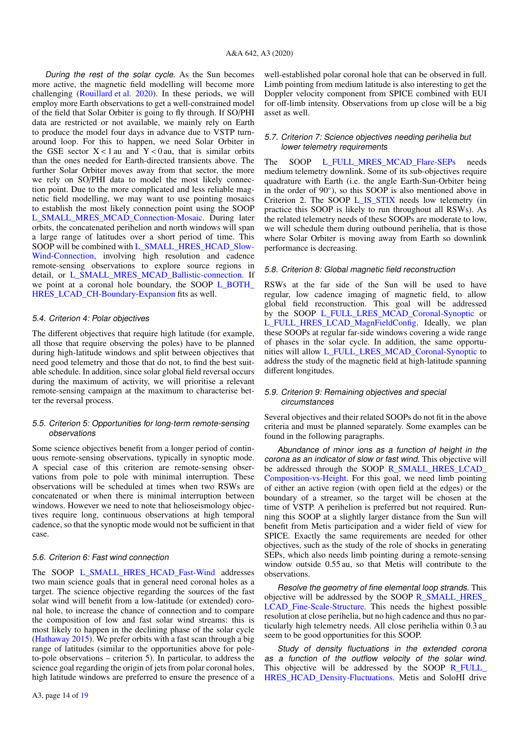During the rest of the solar cycle. As the Sun becomes more active, the magnetic field modelling will become more challenging [\(Rouillard et al.](#page-17-62) [2020\)](#page-17-62). In these periods, we will employ more Earth observations to get a well-constrained model of the field that Solar Orbiter is going to fly through. If SO/PHI data are restricted or not available, we mainly rely on Earth to produce the model four days in advance due to VSTP turnaround loop. For this to happen, we need Solar Orbiter in the GSE sector  $X < 1$  au and  $Y < 0$  au, that is similar orbits than the ones needed for Earth-directed transients above. The further Solar Orbiter moves away from that sector, the more we rely on SO/PHI data to model the most likely connection point. Due to the more complicated and less reliable magnetic field modelling, we may want to use pointing mosaics to establish the most likely connection point using the SOOP [L\\_SMALL\\_MRES\\_MCAD\\_Connection-Mosaic.](#page-7-0) During later orbits, the concatenated perihelion and north windows will span a large range of latitudes over a short period of time. This SOOP will be combined with [L\\_SMALL\\_HRES\\_HCAD\\_Slow-](#page-7-2)[Wind-Connection,](#page-7-2) involving high resolution and cadence remote-sensing observations to explore source regions in detail, or [L\\_SMALL\\_MRES\\_MCAD\\_Ballistic-connection.](#page-6-3) If we point at a coronal hole boundary, the SOOP [L\\_BOTH\\_](#page-8-3) [HRES\\_LCAD\\_CH-Boundary-Expansion](#page-8-3) fits as well.

#### 5.4. Criterion 4: Polar objectives

The different objectives that require high latitude (for example, all those that require observing the poles) have to be planned during high-latitude windows and split between objectives that need good telemetry and those that do not, to find the best suitable schedule. In addition, since solar global field reversal occurs during the maximum of activity, we will prioritise a relevant remote-sensing campaign at the maximum to characterise better the reversal process.

## 5.5. Criterion 5: Opportunities for long-term remote-sensing observations

Some science objectives benefit from a longer period of continuous remote-sensing observations, typically in synoptic mode. A special case of this criterion are remote-sensing observations from pole to pole with minimal interruption. These observations will be scheduled at times when two RSWs are concatenated or when there is minimal interruption between windows. However we need to note that helioseismology objectives require long, continuous observations at high temporal cadence, so that the synoptic mode would not be sufficient in that case.

#### 5.6. Criterion 6: Fast wind connection

The SOOP [L\\_SMALL\\_HRES\\_HCAD\\_Fast-Wind](#page-7-1) addresses two main science goals that in general need coronal holes as a target. The science objective regarding the sources of the fast solar wind will benefit from a low-latitude (or extended) coronal hole, to increase the chance of connection and to compare the composition of low and fast solar wind streams: this is most likely to happen in the declining phase of the solar cycle [\(Hathaway](#page-16-31) [2015\)](#page-16-31). We prefer orbits with a fast scan through a big range of latitudes (similar to the opportunities above for poleto-pole observations – criterion 5). In particular, to address the science goal regarding the origin of jets from polar coronal holes, high latitude windows are preferred to ensure the presence of a well-established polar coronal hole that can be observed in full. Limb pointing from medium latitude is also interesting to get the Doppler velocity component from SPICE combined with EUI for off-limb intensity. Observations from up close will be a big asset as well.

## 5.7. Criterion 7: Science objectives needing perihelia but lower telemetry requirements

The SOOP [L\\_FULL\\_MRES\\_MCAD\\_Flare-SEPs](#page-8-2) needs medium telemetry downlink. Some of its sub-objectives require quadrature with Earth (i.e. the angle Earth-Sun-Orbiter being in the order of 90◦ ), so this SOOP is also mentioned above in Criterion 2. The SOOP [L\\_IS\\_STIX](#page-4-2) needs low telemetry (in practice this SOOP is likely to run throughout all RSWs). As the related telemetry needs of these SOOPs are moderate to low, we will schedule them during outbound perihelia, that is those where Solar Orbiter is moving away from Earth so downlink performance is decreasing.

#### 5.8. Criterion 8: Global magnetic field reconstruction

RSWs at the far side of the Sun will be used to have regular, low cadence imaging of magnetic field, to allow global field reconstruction. This goal will be addressed by the SOOP [L\\_FULL\\_LRES\\_MCAD\\_Coronal-Synoptic](#page-5-0) or [L\\_FULL\\_HRES\\_LCAD\\_MagnFieldConfig.](#page-5-3) Ideally, we plan these SOOPs at regular far-side windows covering a wide range of phases in the solar cycle. In addition, the same opportunities will allow [L\\_FULL\\_LRES\\_MCAD\\_Coronal-Synoptic](#page-5-0) to address the study of the magnetic field at high-latitude spanning different longitudes.

#### 5.9. Criterion 9: Remaining objectives and special circumstances

Several objectives and their related SOOPs do not fit in the above criteria and must be planned separately. Some examples can be found in the following paragraphs.

Abundance of minor ions as a function of height in the corona as an indicator of slow or fast wind. This objective will be addressed through the SOOP [R\\_SMALL\\_HRES\\_LCAD\\_](#page-10-1) [Composition-vs-Height.](#page-10-1) For this goal, we need limb pointing of either an active region (with open field at the edges) or the boundary of a streamer, so the target will be chosen at the time of VSTP. A perihelion is preferred but not required. Running this SOOP at a slightly larger distance from the Sun will benefit from Metis participation and a wider field of view for SPICE. Exactly the same requirements are needed for other objectives, such as the study of the role of shocks in generating SEPs, which also needs limb pointing during a remote-sensing window outside 0.55 au, so that Metis will contribute to the observations.

Resolve the geometry of fine elemental loop strands. This objective will be addressed by the SOOP [R\\_SMALL\\_HRES\\_](#page-10-2) [LCAD\\_Fine-Scale-Structure.](#page-10-2) This needs the highest possible resolution at close perihelia, but no high cadence and thus no particularly high telemetry needs. All close perihelia within 0.3 au seem to be good opportunities for this SOOP.

Study of density fluctuations in the extended corona as a function of the outflow velocity of the solar wind. This objective will be addressed by the SOOP [R\\_FULL\\_](#page-9-2) [HRES\\_HCAD\\_Density-Fluctuations.](#page-9-2) Metis and SoloHI drive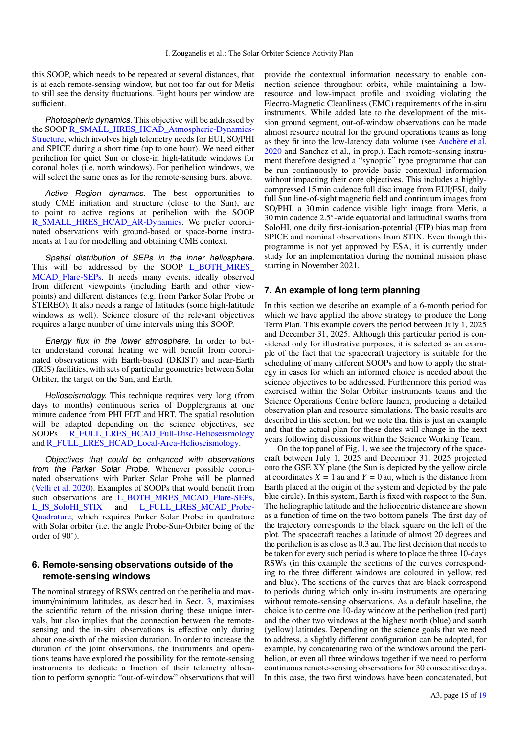this SOOP, which needs to be repeated at several distances, that is at each remote-sensing window, but not too far out for Metis to still see the density fluctuations. Eight hours per window are sufficient.

Photospheric dynamics. This objective will be addressed by the SOOP [R\\_SMALL\\_HRES\\_HCAD\\_Atmospheric-Dynamics-](#page-10-4)[Structure,](#page-10-4) which involves high telemetry needs for EUI, SO/PHI and SPICE during a short time (up to one hour). We need either perihelion for quiet Sun or close-in high-latitude windows for coronal holes (i.e. north windows). For perihelion windows, we will select the same ones as for the remote-sensing burst above.

Active Region dynamics. The best opportunities to study CME initiation and structure (close to the Sun), are to point to active regions at perihelion with the SOOP [R\\_SMALL\\_HRES\\_HCAD\\_AR-Dynamics.](#page-10-5) We prefer coordinated observations with ground-based or space-borne instruments at 1 au for modelling and obtaining CME context.

Spatial distribution of SEPs in the inner heliosphere. This will be addressed by the SOOP [L\\_BOTH\\_MRES\\_](#page-8-2) MCAD Flare-SEPs. It needs many events, ideally observed from different viewpoints (including Earth and other viewpoints) and different distances (e.g. from Parker Solar Probe or STEREO). It also needs a range of latitudes (some high-latitude windows as well). Science closure of the relevant objectives requires a large number of time intervals using this SOOP.

Energy flux in the lower atmosphere. In order to better understand coronal heating we will benefit from coordinated observations with Earth-based (DKIST) and near-Earth (IRIS) facilities, with sets of particular geometries between Solar Orbiter, the target on the Sun, and Earth.

Helioseismology. This technique requires very long (from days to months) continuous series of Dopplergrams at one minute cadence from PHI FDT and HRT. The spatial resolution will be adapted depending on the science objectives, see SOOPs [R\\_FULL\\_LRES\\_HCAD\\_Full-Disc-Helioseismology](#page-9-0) and [R\\_FULL\\_LRES\\_HCAD\\_Local-Area-Helioseismology.](#page-9-1)

Objectives that could be enhanced with observations from the Parker Solar Probe. Whenever possible coordinated observations with Parker Solar Probe will be planned [\(Velli et al.](#page-17-51) [2020\)](#page-17-51). Examples of SOOPs that would benefit from such observations are [L\\_BOTH\\_MRES\\_MCAD\\_Flare-SEPs,](#page-8-2) [L\\_IS\\_SoloHI\\_STIX](#page-4-3) and [L\\_FULL\\_LRES\\_MCAD\\_Probe-](#page-5-1)[Quadrature,](#page-5-1) which requires Parker Solar Probe in quadrature with Solar orbiter (i.e. the angle Probe-Sun-Orbiter being of the order of 90°).

## <span id="page-14-0"></span>**6. Remote-sensing observations outside of the remote-sensing windows**

The nominal strategy of RSWs centred on the perihelia and maximum/minimum latitudes, as described in Sect. [3,](#page-2-2) maximises the scientific return of the mission during these unique intervals, but also implies that the connection between the remotesensing and the in-situ observations is effective only during about one-sixth of the mission duration. In order to increase the duration of the joint observations, the instruments and operations teams have explored the possibility for the remote-sensing instruments to dedicate a fraction of their telemetry allocation to perform synoptic "out-of-window" observations that will provide the contextual information necessary to enable connection science throughout orbits, while maintaining a lowresource and low-impact profile and avoiding violating the Electro-Magnetic Cleanliness (EMC) requirements of the in-situ instruments. While added late to the development of the mission ground segment, out-of-window observations can be made almost resource neutral for the ground operations teams as long as they fit into the low-latency data volume (see [Auchère et al.](#page-16-1) [2020](#page-16-1) and Sanchez et al., in prep.). Each remote-sensing instrument therefore designed a "synoptic" type programme that can be run continuously to provide basic contextual information without impacting their core objectives. This includes a highlycompressed 15 min cadence full disc image from EUI/FSI, daily full Sun line-of-sight magnetic field and continuum images from SO/PHI, a 30 min cadence visible light image from Metis, a 30 min cadence 2.5◦ -wide equatorial and latitudinal swaths from SoloHI, one daily first-ionisation-potential (FIP) bias map from SPICE and nominal observations from STIX. Even though this programme is not yet approved by ESA, it is currently under study for an implementation during the nominal mission phase starting in November 2021.

## **7. An example of long term planning**

In this section we describe an example of a 6-month period for which we have applied the above strategy to produce the Long Term Plan. This example covers the period between July 1, 2025 and December 31, 2025. Although this particular period is considered only for illustrative purposes, it is selected as an example of the fact that the spacecraft trajectory is suitable for the scheduling of many different SOOPs and how to apply the strategy in cases for which an informed choice is needed about the science objectives to be addressed. Furthermore this period was exercised within the Solar Orbiter instruments teams and the Science Operations Centre before launch, producing a detailed observation plan and resource simulations. The basic results are described in this section, but we note that this is just an example and that the actual plan for these dates will change in the next years following discussions within the Science Working Team.

On the top panel of Fig. [1,](#page-15-0) we see the trajectory of the spacecraft between July 1, 2025 and December 31, 2025 projected onto the GSE XY plane (the Sun is depicted by the yellow circle at coordinates  $X = 1$  au and  $Y = 0$  au, which is the distance from Earth placed at the origin of the system and depicted by the pale blue circle). In this system, Earth is fixed with respect to the Sun. The heliographic latitude and the heliocentric distance are shown as a function of time on the two bottom panels. The first day of the trajectory corresponds to the black square on the left of the plot. The spacecraft reaches a latitude of almost 20 degrees and the perihelion is as close as 0.3 au. The first decision that needs to be taken for every such period is where to place the three 10-days RSWs (in this example the sections of the curves corresponding to the three different windows are coloured in yellow, red and blue). The sections of the curves that are black correspond to periods during which only in-situ instruments are operating without remote-sensing observations. As a default baseline, the choice is to centre one 10-day window at the perihelion (red part) and the other two windows at the highest north (blue) and south (yellow) latitudes. Depending on the science goals that we need to address, a slightly different configuration can be adopted, for example, by concatenating two of the windows around the perihelion, or even all three windows together if we need to perform continuous remote-sensing observations for 30 consecutive days. In this case, the two first windows have been concatenated, but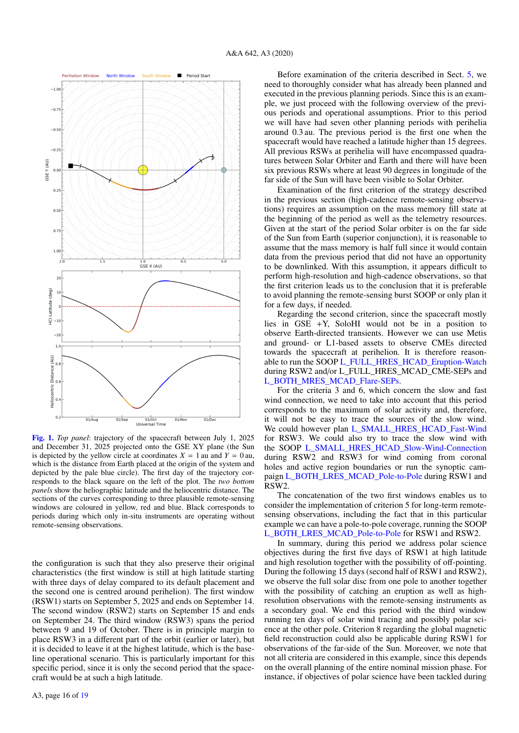

<span id="page-15-0"></span>[Fig. 1.](https://dexter.edpsciences.org/applet.php?DOI=10.1051/0004-6361/202038445&pdf_id=1) *Top panel*: trajectory of the spacecraft between July 1, 2025 and December 31, 2025 projected onto the GSE XY plane (the Sun is depicted by the yellow circle at coordinates  $X = 1$  au and  $Y = 0$  au, which is the distance from Earth placed at the origin of the system and depicted by the pale blue circle). The first day of the trajectory corresponds to the black square on the left of the plot. The *two bottom panels* show the heliographic latitude and the heliocentric distance. The sections of the curves corresponding to three plausible remote-sensing windows are coloured in yellow, red and blue. Black corresponds to periods during which only in-situ instruments are operating without remote-sensing observations.

the configuration is such that they also preserve their original characteristics (the first window is still at high latitude starting with three days of delay compared to its default placement and the second one is centred around perihelion). The first window (RSW1) starts on September 5, 2025 and ends on September 14. The second window (RSW2) starts on September 15 and ends on September 24. The third window (RSW3) spans the period between 9 and 19 of October. There is in principle margin to place RSW3 in a different part of the orbit (earlier or later), but it is decided to leave it at the highest latitude, which is the baseline operational scenario. This is particularly important for this specific period, since it is only the second period that the spacecraft would be at such a high latitude.

Before examination of the criteria described in Sect. [5,](#page-12-0) we need to thoroughly consider what has already been planned and executed in the previous planning periods. Since this is an example, we just proceed with the following overview of the previous periods and operational assumptions. Prior to this period we will have had seven other planning periods with perihelia around 0.3 au. The previous period is the first one when the spacecraft would have reached a latitude higher than 15 degrees. All previous RSWs at perihelia will have encompassed quadratures between Solar Orbiter and Earth and there will have been six previous RSWs where at least 90 degrees in longitude of the far side of the Sun will have been visible to Solar Orbiter.

Examination of the first criterion of the strategy described in the previous section (high-cadence remote-sensing observations) requires an assumption on the mass memory fill state at the beginning of the period as well as the telemetry resources. Given at the start of the period Solar orbiter is on the far side of the Sun from Earth (superior conjunction), it is reasonable to assume that the mass memory is half full since it would contain data from the previous period that did not have an opportunity to be downlinked. With this assumption, it appears difficult to perform high-resolution and high-cadence observations, so that the first criterion leads us to the conclusion that it is preferable to avoid planning the remote-sensing burst SOOP or only plan it for a few days, if needed.

Regarding the second criterion, since the spacecraft mostly lies in GSE  $+Y$ , SoloHI would not be in a position to observe Earth-directed transients. However we can use Metis and ground- or L1-based assets to observe CMEs directed towards the spacecraft at perihelion. It is therefore reasonable to run the SOOP [L\\_FULL\\_HRES\\_HCAD\\_Eruption-Watch](#page-6-1) during RSW2 and/or L\_FULL\_HRES\_MCAD\_CME-SEPs and [L\\_BOTH\\_MRES\\_MCAD\\_Flare-SEPs.](#page-8-2)

For the criteria 3 and 6, which concern the slow and fast wind connection, we need to take into account that this period corresponds to the maximum of solar activity and, therefore, it will not be easy to trace the sources of the slow wind. We could however plan [L\\_SMALL\\_HRES\\_HCAD\\_Fast-Wind](#page-7-1) for RSW3. We could also try to trace the slow wind with the SOOP [L\\_SMALL\\_HRES\\_HCAD\\_Slow-Wind-Connection](#page-7-2) during RSW2 and RSW3 for wind coming from coronal holes and active region boundaries or run the synoptic campaign [L\\_BOTH\\_LRES\\_MCAD\\_Pole-to-Pole](#page-8-1) during RSW1 and RSW2.

The concatenation of the two first windows enables us to consider the implementation of criterion 5 for long-term remotesensing observations, including the fact that in this particular example we can have a pole-to-pole coverage, running the SOOP [L\\_BOTH\\_LRES\\_MCAD\\_Pole-to-Pole](#page-8-1) for RSW1 and RSW2.

In summary, during this period we address polar science objectives during the first five days of RSW1 at high latitude and high resolution together with the possibility of off-pointing. During the following 15 days (second half of RSW1 and RSW2), we observe the full solar disc from one pole to another together with the possibility of catching an eruption as well as highresolution observations with the remote-sensing instruments as a secondary goal. We end this period with the third window running ten days of solar wind tracing and possibly polar science at the other pole. Criterion 8 regarding the global magnetic field reconstruction could also be applicable during RSW1 for observations of the far-side of the Sun. Moreover, we note that not all criteria are considered in this example, since this depends on the overall planning of the entire nominal mission phase. For instance, if objectives of polar science have been tackled during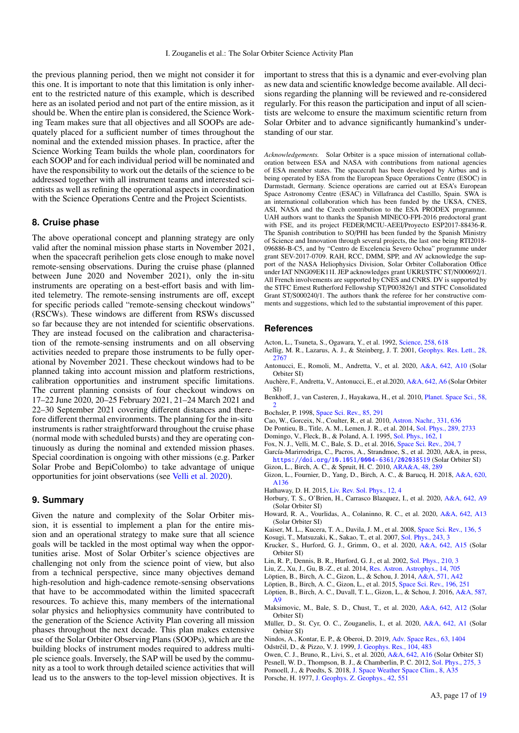the previous planning period, then we might not consider it for this one. It is important to note that this limitation is only inherent to the restricted nature of this example, which is described here as an isolated period and not part of the entire mission, as it should be. When the entire plan is considered, the Science Working Team makes sure that all objectives and all SOOPs are adequately placed for a sufficient number of times throughout the nominal and the extended mission phases. In practice, after the Science Working Team builds the whole plan, coordinators for each SOOP and for each individual period will be nominated and have the responsibility to work out the details of the science to be addressed together with all instrument teams and interested scientists as well as refining the operational aspects in coordination with the Science Operations Centre and the Project Scientists.

## **8. Cruise phase**

The above operational concept and planning strategy are only valid after the nominal mission phase starts in November 2021, when the spacecraft perihelion gets close enough to make novel remote-sensing observations. During the cruise phase (planned between June 2020 and November 2021), only the in-situ instruments are operating on a best-effort basis and with limited telemetry. The remote-sensing instruments are off, except for specific periods called "remote-sensing checkout windows" (RSCWs). These windows are different from RSWs discussed so far because they are not intended for scientific observations. They are instead focused on the calibration and characterisation of the remote-sensing instruments and on all observing activities needed to prepare those instruments to be fully operational by November 2021. These checkout windows had to be planned taking into account mission and platform restrictions, calibration opportunities and instrument specific limitations. The current planning consists of four checkout windows on 17–22 June 2020, 20–25 February 2021, 21–24 March 2021 and 22–30 September 2021 covering different distances and therefore different thermal environments. The planning for the in-situ instruments is rather straightforward throughout the cruise phase (normal mode with scheduled bursts) and they are operating continuously as during the nominal and extended mission phases. Special coordination is ongoing with other missions (e.g. Parker Solar Probe and BepiColombo) to take advantage of unique opportunities for joint observations (see [Velli et al.](#page-17-51) [2020\)](#page-17-51).

## **9. Summary**

Given the nature and complexity of the Solar Orbiter mission, it is essential to implement a plan for the entire mission and an operational strategy to make sure that all science goals will be tackled in the most optimal way when the opportunities arise. Most of Solar Orbiter's science objectives are challenging not only from the science point of view, but also from a technical perspective, since many objectives demand high-resolution and high-cadence remote-sensing observations that have to be accommodated within the limited spacecraft resources. To achieve this, many members of the international solar physics and heliophysics community have contributed to the generation of the Science Activity Plan covering all mission phases throughout the next decade. This plan makes extensive use of the Solar Orbiter Observing Plans (SOOPs), which are the building blocks of instrument modes required to address multiple science goals. Inversely, the SAP will be used by the community as a tool to work through detailed science activities that will lead us to the answers to the top-level mission objectives. It is important to stress that this is a dynamic and ever-evolving plan as new data and scientific knowledge become available. All decisions regarding the planning will be reviewed and re-considered regularly. For this reason the participation and input of all scientists are welcome to ensure the maximum scientific return from Solar Orbiter and to advance significantly humankind's understanding of our star.

*Acknowledgements.* Solar Orbiter is a space mission of international collaboration between ESA and NASA with contributions from national agencies of ESA member states. The spacecraft has been developed by Airbus and is being operated by ESA from the European Space Operations Centre (ESOC) in Darmstadt, Germany. Science operations are carried out at ESA's European Space Astronomy Centre (ESAC) in Villafranca del Castillo, Spain. SWA is an international collaboration which has been funded by the UKSA, CNES, ASI, NASA and the Czech contribution to the ESA PRODEX programme. UAH authors want to thanks the Spanish MINECO-FPI-2016 predoctoral grant with FSE, and its project FEDER/MCIU-AEEI/Proyecto ESP2017-88436-R. The Spanish contribution to SO/PHI has been funded by the Spanish Ministry of Science and Innovation through several projects, the last one being RTI2018- 096886-B-C5, and by "Centro de Excelencia Severo Ochoa" programme under grant SEV-2017-0709. RAH, RCC, DMM, SPP, and AV acknowledge the support of the NASA Heliophysics Division, Solar Orbiter Collaboration Office under IAT NNG09EK11I. JEP acknowledges grant UKRI/STFC ST/N000692/1. All French involvements are supported by CNES and CNRS. DV is supported by the STFC Ernest Rutherford Fellowship ST/P003826/1 and STFC Consolidated Grant ST/S000240/1. The authors thank the referee for her constructive comments and suggestions, which led to the substantial improvement of this paper.

#### **References**

- <span id="page-16-6"></span>Acton, L., Tsuneta, S., Ogawara, Y., et al. 1992, [Science, 258, 618](http://linker.aanda.org/10.1051/0004-6361/202038445/1)
- <span id="page-16-23"></span>Aellig, M. R., Lazarus, A. J., & Steinberg, J. T. 2001, [Geophys. Res. Lett., 28,](http://linker.aanda.org/10.1051/0004-6361/202038445/2) [2767](http://linker.aanda.org/10.1051/0004-6361/202038445/2)
- <span id="page-16-21"></span>Antonucci, E., Romoli, M., Andretta, V., et al. 2020, [A&A, 642, A10](http://linker.aanda.org/10.1051/0004-6361/202038445/3) (Solar Orbiter SI)
- <span id="page-16-1"></span>Auchère, F., Andretta, V., Antonucci, E., et al.2020, [A&A, 642, A6](http://linker.aanda.org/10.1051/0004-6361/202038445/4) (Solar Orbiter SI)
- <span id="page-16-3"></span>Benkhoff, J., van Casteren, J., Hayakawa, H., et al. 2010, [Planet. Space Sci., 58,](http://linker.aanda.org/10.1051/0004-6361/202038445/5) [2](http://linker.aanda.org/10.1051/0004-6361/202038445/5)
- <span id="page-16-22"></span>Bochsler, P. 1998, [Space Sci. Rev., 85, 291](http://linker.aanda.org/10.1051/0004-6361/202038445/6)
- <span id="page-16-13"></span>Cao, W., Gorceix, N., Coulter, R., et al. 2010, [Astron. Nachr., 331, 636](http://linker.aanda.org/10.1051/0004-6361/202038445/7)
- <span id="page-16-12"></span>De Pontieu, B., Title, A. M., Lemen, J. R., et al. 2014, [Sol. Phys., 289, 2733](http://linker.aanda.org/10.1051/0004-6361/202038445/8)
- <span id="page-16-7"></span>Domingo, V., Fleck, B., & Poland, A. I. 1995, [Sol. Phys., 162, 1](http://linker.aanda.org/10.1051/0004-6361/202038445/9)
- <span id="page-16-2"></span>Fox, N. J., Velli, M. C., Bale, S. D., et al. 2016, [Space Sci. Rev., 204, 7](http://linker.aanda.org/10.1051/0004-6361/202038445/10)
- <span id="page-16-18"></span>García-Marirrodriga, C., Pacros, A., Strandmoe, S., et al. 2020, A&A, in press, <https://doi.org/10.1051/0004-6361/202038519> (Solar Orbiter SI)
- <span id="page-16-28"></span><span id="page-16-27"></span>Gizon, L., Birch, A. C., & Spruit, H. C. 2010, [ARA&A, 48, 289](http://linker.aanda.org/10.1051/0004-6361/202038445/12) Gizon, L., Fournier, D., Yang, D., Birch, A. C., & Barucq, H. 2018, [A&A, 620,](http://linker.aanda.org/10.1051/0004-6361/202038445/13)
- [A136](http://linker.aanda.org/10.1051/0004-6361/202038445/13)
- <span id="page-16-31"></span>Hathaway, D. H. 2015, [Liv. Rev. Sol. Phys., 12, 4](http://linker.aanda.org/10.1051/0004-6361/202038445/14)
- <span id="page-16-15"></span>Horbury, T. S., O'Brien, H., Carrasco Blazquez, I., et al. 2020, [A&A, 642, A9](http://linker.aanda.org/10.1051/0004-6361/202038445/15) (Solar Orbiter SI)
- <span id="page-16-20"></span>Howard, R. A., Vourlidas, A., Colaninno, R. C., et al. 2020, [A&A, 642, A13](http://linker.aanda.org/10.1051/0004-6361/202038445/16) (Solar Orbiter SI)
- <span id="page-16-10"></span>Kaiser, M. L., Kucera, T. A., Davila, J. M., et al. 2008, [Space Sci. Rev., 136, 5](http://linker.aanda.org/10.1051/0004-6361/202038445/17)
- <span id="page-16-9"></span>Kosugi, T., Matsuzaki, K., Sakao, T., et al. 2007, [Sol. Phys., 243, 3](http://linker.aanda.org/10.1051/0004-6361/202038445/18)
- <span id="page-16-19"></span>Krucker, S., Hurford, G. J., Grimm, O., et al. 2020, [A&A, 642, A15](http://linker.aanda.org/10.1051/0004-6361/202038445/19) (Solar Orbiter SI)
- <span id="page-16-8"></span>Lin, R. P., Dennis, B. R., Hurford, G. J., et al. 2002, [Sol. Phys., 210, 3](http://linker.aanda.org/10.1051/0004-6361/202038445/20)
- <span id="page-16-14"></span>Liu, Z., Xu, J., Gu, B.-Z., et al. 2014, [Res. Astron. Astrophys., 14, 705](http://linker.aanda.org/10.1051/0004-6361/202038445/21)
- <span id="page-16-29"></span>Löptien, B., Birch, A. C., Gizon, L., & Schou, J. 2014, [A&A, 571, A42](http://linker.aanda.org/10.1051/0004-6361/202038445/22)
- <span id="page-16-26"></span>Löptien, B., Birch, A. C., Gizon, L., et al. 2015, [Space Sci. Rev., 196, 251](http://linker.aanda.org/10.1051/0004-6361/202038445/23)
- <span id="page-16-30"></span>Löptien, B., Birch, A. C., Duvall, T. L., Gizon, L., & Schou, J. 2016, [A&A, 587,](http://linker.aanda.org/10.1051/0004-6361/202038445/24) [A9](http://linker.aanda.org/10.1051/0004-6361/202038445/24)
- <span id="page-16-16"></span>Maksimovic, M., Bale, S. D., Chust, T., et al. 2020, [A&A, 642, A12](http://linker.aanda.org/10.1051/0004-6361/202038445/25) (Solar Orbiter SI)
- <span id="page-16-0"></span>Müller, D., St. Cyr, O. C., Zouganelis, I., et al. 2020, [A&A, 642, A1](http://linker.aanda.org/10.1051/0004-6361/202038445/26) (Solar Orbiter SI)
- <span id="page-16-4"></span>Nindos, A., Kontar, E. P., & Oberoi, D. 2019, [Adv. Space Res., 63, 1404](http://linker.aanda.org/10.1051/0004-6361/202038445/27)
- <span id="page-16-24"></span>Odstrčil, D., & Pizzo, V. J. 1999, [J. Geophys. Res., 104, 483](http://linker.aanda.org/10.1051/0004-6361/202038445/28)
- <span id="page-16-17"></span>Owen, C. J., Bruno, R., Livi, S., et al. 2020, [A&A, 642, A16](http://linker.aanda.org/10.1051/0004-6361/202038445/29) (Solar Orbiter SI)
- <span id="page-16-11"></span>Pesnell, W. D., Thompson, B. J., & Chamberlin, P. C. 2012, [Sol. Phys., 275, 3](http://linker.aanda.org/10.1051/0004-6361/202038445/30)
- <span id="page-16-25"></span>Pomoell, J., & Poedts, S. 2018, [J. Space Weather Space Clim., 8, A35](http://linker.aanda.org/10.1051/0004-6361/202038445/31)
- <span id="page-16-5"></span>Porsche, H. 1977, [J. Geophys. Z. Geophys., 42, 551](http://linker.aanda.org/10.1051/0004-6361/202038445/32)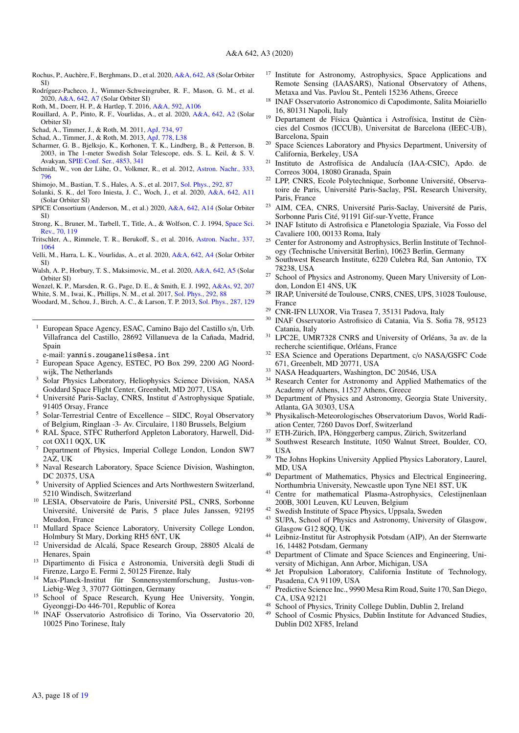- <span id="page-17-59"></span>Rochus, P., Auchère, F., Berghmans, D., et al. 2020, [A&A, 642, A8](http://linker.aanda.org/10.1051/0004-6361/202038445/33) (Solar Orbiter SI)
- <span id="page-17-58"></span>Rodríguez-Pacheco, J., Wimmer-Schweingruber, R. F., Mason, G. M., et al. 2020, [A&A, 642, A7](http://linker.aanda.org/10.1051/0004-6361/202038445/34) (Solar Orbiter SI)
- <span id="page-17-63"></span>Roth, M., Doerr, H. P., & Hartlep, T. 2016, [A&A, 592, A106](http://linker.aanda.org/10.1051/0004-6361/202038445/35)
- <span id="page-17-62"></span>Rouillard, A. P., Pinto, R. F., Vourlidas, A., et al. 2020, [A&A, 642, A2](http://linker.aanda.org/10.1051/0004-6361/202038445/36) (Solar Orbiter SI)
- <span id="page-17-64"></span>Schad, A., Timmer, J., & Roth, M. 2011, [ApJ, 734, 97](http://linker.aanda.org/10.1051/0004-6361/202038445/37)
- <span id="page-17-65"></span>Schad, A., Timmer, J., & Roth, M. 2013, [ApJ, 778, L38](http://linker.aanda.org/10.1051/0004-6361/202038445/38)
- <span id="page-17-55"></span>Scharmer, G. B., Bjelksjo, K., Korhonen, T. K., Lindberg, B., & Petterson, B. 2003, in The 1-meter Swedish Solar Telescope, eds. S. L. Keil, & S. V. Avakyan, [SPIE Conf. Ser., 4853, 341](http://linker.aanda.org/10.1051/0004-6361/202038445/39)
- <span id="page-17-54"></span>Schmidt, W., von der Lühe, O., Volkmer, R., et al. 2012, [Astron. Nachr., 333,](http://linker.aanda.org/10.1051/0004-6361/202038445/40) [796](http://linker.aanda.org/10.1051/0004-6361/202038445/40)
- <span id="page-17-56"></span>Shimojo, M., Bastian, T. S., Hales, A. S., et al. 2017, [Sol. Phys., 292, 87](http://linker.aanda.org/10.1051/0004-6361/202038445/41)
- <span id="page-17-60"></span>Solanki, S. K., del Toro Iniesta, J. C., Woch, J., et al. 2020, [A&A, 642, A11](http://linker.aanda.org/10.1051/0004-6361/202038445/42)
- <span id="page-17-61"></span>(Solar Orbiter SI) SPICE Consortium (Anderson, M., et al.) 2020, [A&A, 642, A14](http://linker.aanda.org/10.1051/0004-6361/202038445/43) (Solar Orbiter SI)
- <span id="page-17-53"></span>Strong, K., Bruner, M., Tarbell, T., Title, A., & Wolfson, C. J. 1994, [Space Sci.](http://linker.aanda.org/10.1051/0004-6361/202038445/44) [Rev., 70, 119](http://linker.aanda.org/10.1051/0004-6361/202038445/44)
- <span id="page-17-50"></span>Tritschler, A., Rimmele, T. R., Berukoff, S., et al. 2016, [Astron. Nachr., 337,](http://linker.aanda.org/10.1051/0004-6361/202038445/45) [1064](http://linker.aanda.org/10.1051/0004-6361/202038445/45)
- <span id="page-17-51"></span>Velli, M., Harra, L. K., Vourlidas, A., et al. 2020, [A&A, 642, A4](http://linker.aanda.org/10.1051/0004-6361/202038445/46) (Solar Orbiter SI)
- <span id="page-17-49"></span>Walsh, A. P., Horbury, T. S., Maksimovic, M., et al. 2020, [A&A, 642, A5](http://linker.aanda.org/10.1051/0004-6361/202038445/47) (Solar Orbiter SI)
- <span id="page-17-57"></span><span id="page-17-52"></span>Wenzel, K. P., Marsden, R. G., Page, D. E., & Smith, E. J. 1992, [A&As, 92, 207](http://linker.aanda.org/10.1051/0004-6361/202038445/48) White, S. M., Iwai, K., Phillips, N. M., et al. 2017, [Sol. Phys., 292, 88](http://linker.aanda.org/10.1051/0004-6361/202038445/49)
- <span id="page-17-66"></span>Woodard, M., Schou, J., Birch, A. C., & Larson, T. P. 2013, [Sol. Phys., 287, 129](http://linker.aanda.org/10.1051/0004-6361/202038445/50)
- European Space Agency, ESAC, Camino Bajo del Castillo s/n, Urb.
- <span id="page-17-0"></span>Villafranca del Castillo, 28692 Villanueva de la Cañada, Madrid, Spain
- e-mail: yannis.zouganelis@esa.int
- <span id="page-17-1"></span><sup>2</sup> European Space Agency, ESTEC, PO Box 299, 2200 AG Noordwijk, The Netherlands
- <span id="page-17-2"></span><sup>3</sup> Solar Physics Laboratory, Heliophysics Science Division, NASA Goddard Space Flight Center, Greenbelt, MD 2077, USA
- <span id="page-17-3"></span><sup>4</sup> Université Paris-Saclay, CNRS, Institut d'Astrophysique Spatiale, 91405 Orsay, France
- <span id="page-17-4"></span><sup>5</sup> Solar-Terrestrial Centre of Excellence – SIDC, Royal Observatory of Belgium, Ringlaan -3- Av. Circulaire, 1180 Brussels, Belgium
- <span id="page-17-5"></span><sup>6</sup> RAL Space, STFC Rutherford Appleton Laboratory, Harwell, Didcot OX11 0QX, UK
- <span id="page-17-6"></span><sup>7</sup> Department of Physics, Imperial College London, London SW7 2AZ, UK
- <span id="page-17-7"></span><sup>8</sup> Naval Research Laboratory, Space Science Division, Washington, DC 20375, USA
- <span id="page-17-8"></span>University of Applied Sciences and Arts Northwestern Switzerland, 5210 Windisch, Switzerland
- <span id="page-17-9"></span><sup>10</sup> LESIA, Observatoire de Paris, Université PSL, CNRS, Sorbonne Université, Université de Paris, 5 place Jules Janssen, 92195 Meudon, France
- <span id="page-17-10"></span><sup>11</sup> Mullard Space Science Laboratory, University College London, Holmbury St Mary, Dorking RH5 6NT, UK
- <span id="page-17-11"></span><sup>12</sup> Universidad de Alcalá, Space Research Group, 28805 Alcalá de Henares, Spain
- <span id="page-17-12"></span><sup>13</sup> Dipartimento di Fisica e Astronomia, Università degli Studi di Firenze, Largo E. Fermi 2, 50125 Firenze, Italy
- <span id="page-17-13"></span><sup>14</sup> Max-Planck-Institut für Sonnensystemforschung, Justus-von-Liebig-Weg 3, 37077 Göttingen, Germany
- <span id="page-17-14"></span>School of Space Research, Kyung Hee University, Yongin, Gyeonggi-Do 446-701, Republic of Korea
- <span id="page-17-15"></span><sup>16</sup> INAF Osservatorio Astrofisico di Torino, Via Osservatorio 20, 10025 Pino Torinese, Italy
- <span id="page-17-16"></span><sup>17</sup> Institute for Astronomy, Astrophysics, Space Applications and Remote Sensing (IAASARS), National Observatory of Athens, Metaxa and Vas. Pavlou St., Penteli 15236 Athens, Greece
- <span id="page-17-17"></span><sup>18</sup> INAF Osservatorio Astronomico di Capodimonte, Salita Moiariello 16, 80131 Napoli, Italy
- <span id="page-17-18"></span><sup>19</sup> Departament de Física Quàntica i Astrofísica, Institut de Ciències del Cosmos (ICCUB), Universitat de Barcelona (IEEC-UB), Barcelona, Spain
- <span id="page-17-19"></span><sup>20</sup> Space Sciences Laboratory and Physics Department, University of California, Berkeley, USA
- <span id="page-17-20"></span><sup>21</sup> Instituto de Astrofísica de Andalucía (IAA-CSIC), Apdo. de Correos 3004, 18080 Granada, Spain
- <span id="page-17-21"></span><sup>22</sup> LPP, CNRS, Ecole Polytechnique, Sorbonne Université, Observatoire de Paris, Université Paris-Saclay, PSL Research University, Paris, France
- <span id="page-17-22"></span><sup>23</sup> AIM, CEA, CNRS, Université Paris-Saclay, Université de Paris, Sorbonne Paris Cité, 91191 Gif-sur-Yvette, France
- <span id="page-17-23"></span><sup>24</sup> INAF Istituto di Astrofisica e Planetologia Spaziale, Via Fosso del Cavaliere 100, 00133 Roma, Italy
- <span id="page-17-24"></span><sup>25</sup> Center for Astronomy and Astrophysics, Berlin Institute of Technology (Technische Universität Berlin), 10623 Berlin, Germany
- <span id="page-17-25"></span><sup>26</sup> Southwest Research Institute, 6220 Culebra Rd, San Antonio, TX 78238, USA
- <span id="page-17-26"></span><sup>27</sup> School of Physics and Astronomy, Queen Mary University of London, London E1 4NS, UK
- <span id="page-17-27"></span><sup>28</sup> IRAP, Université de Toulouse, CNRS, CNES, UPS, 31028 Toulouse, France
- <span id="page-17-28"></span><sup>29</sup> CNR-IFN LUXOR, Via Trasea 7, 35131 Padova, Italy
- <span id="page-17-29"></span><sup>30</sup> INAF Osservatorio Astrofisico di Catania, Via S. Sofia 78, 95123 Catania, Italy
- <span id="page-17-30"></span><sup>31</sup> LPC2E, UMR7328 CNRS and University of Orléans, 3a av. de la recherche scientifique, Orléans, France
- <span id="page-17-31"></span><sup>32</sup> ESA Science and Operations Department, c/o NASA/GSFC Code 671, Greenbelt, MD 20771, USA
- <span id="page-17-32"></span><sup>33</sup> NASA Headquarters, Washington, DC 20546, USA
- <span id="page-17-33"></span><sup>34</sup> Research Center for Astronomy and Applied Mathematics of the Academy of Athens, 11527 Athens, Greece
- <span id="page-17-34"></span><sup>35</sup> Department of Physics and Astronomy, Georgia State University, Atlanta, GA 30303, USA
- <span id="page-17-35"></span><sup>36</sup> Physikalisch-Meteorologisches Observatorium Davos, World Radiation Center, 7260 Davos Dorf, Switzerland
- <span id="page-17-36"></span><sup>37</sup> ETH-Zürich, IPA, Hönggerberg campus, Zürich, Switzerland<br><sup>38</sup> Southwest Besearch Institute, 1050 Walput Street, Boulder
- <span id="page-17-37"></span>Southwest Research Institute, 1050 Walnut Street, Boulder, CO, USA
- <span id="page-17-38"></span><sup>39</sup> The Johns Hopkins University Applied Physics Laboratory, Laurel, MD, USA
- <span id="page-17-39"></span><sup>40</sup> Department of Mathematics, Physics and Electrical Engineering, Northumbria University, Newcastle upon Tyne NE1 8ST, UK
- <span id="page-17-40"></span><sup>41</sup> Centre for mathematical Plasma-Astrophysics, Celestijnenlaan 200B, 3001 Leuven, KU Leuven, Belgium
- <span id="page-17-41"></span><sup>42</sup> Swedish Institute of Space Physics, Uppsala, Sweden<br><sup>43</sup> SUPA, School of Physics and Astronomy University
- <span id="page-17-42"></span>SUPA, School of Physics and Astronomy, University of Glasgow, Glasgow G12 8QQ, UK
- <span id="page-17-43"></span><sup>44</sup> Leibniz-Institut für Astrophysik Potsdam (AIP), An der Sternwarte 16, 14482 Potsdam, Germany
- <span id="page-17-44"></span><sup>45</sup> Department of Climate and Space Sciences and Engineering, University of Michigan, Ann Arbor, Michigan, USA
- <span id="page-17-45"></span><sup>46</sup> Jet Propulsion Laboratory, California Institute of Technology, Pasadena, CA 91109, USA
- <span id="page-17-46"></span><sup>47</sup> Predictive Science Inc., 9990 Mesa Rim Road, Suite 170, San Diego, CA, USA 92121
- <span id="page-17-47"></span><sup>48</sup> School of Physics, Trinity College Dublin, Dublin 2, Ireland  $^{49}$  School of Cosmic Physics. Dublin Institute for Advanced S
- <span id="page-17-48"></span>School of Cosmic Physics, Dublin Institute for Advanced Studies, Dublin D02 XF85, Ireland